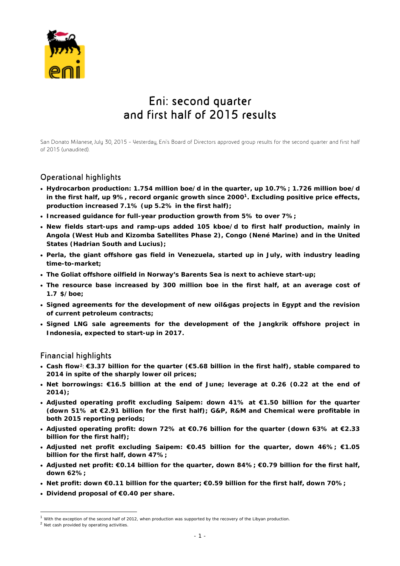

# Eni: second quarter and first half of 2015 results

San Donato Milanese, July 30, 2015 – Yesterday, Eni's Board of Directors approved group results for the second quarter and first half of 2015 (unaudited).

## Operational highlights

- **Hydrocarbon production: 1.754 million boe/d in the quarter, up 10.7%; 1.726 million boe/d in the first half, up 9%, record organic growth since 20001. Excluding positive price effects, production increased 7.1% (up 5.2% in the first half);**
- **Increased guidance for full-year production growth from 5% to over 7%;**
- **New fields start-ups and ramp-ups added 105 kboe/d to first half production, mainly in Angola (West Hub and Kizomba Satellites Phase 2), Congo (Nené Marine) and in the United States (Hadrian South and Lucius);**
- **Perla, the giant offshore gas field in Venezuela, started up in July, with industry leading time-to-market;**
- **The Goliat offshore oilfield in Norway's Barents Sea is next to achieve start-up;**
- **The resource base increased by 300 million boe in the first half, at an average cost of 1.71\$/boe;**
- **Signed agreements for the development of new oil&gas projects in Egypt and the revision of current petroleum contracts;**
- **Signed LNG sale agreements for the development of the Jangkrik offshore project in Indonesia, expected to start-up in 2017.**

### Financial highlights

- **Cash flow**2: **€3.37 billion for the quarter (€5.68 billion in the first half), stable compared to 2014 in spite of the sharply lower oil prices;**
- **Net borrowings: €16.5 billion at the end of June; leverage at 0.26 (0.22 at the end of 2014);**
- **Adjusted operating profit excluding Saipem: down 41% at €1.50 billion for the quarter (down 51% at €2.91 billion for the first half); G&P, R&M and Chemical were profitable in both 2015 reporting periods;**
- **Adjusted operating profit: down 72% at €0.76 billion for the quarter (down 63% at €2.33 billion for the first half);**
- **Adjusted net profit excluding Saipem: €0.45 billion for the quarter, down 46%; €1.05 billion for the first half, down 47%;**
- **Adjusted net profit: €0.14 billion for the quarter, down 84%; €0.79 billion for the first half, down 62%;**
- **Net profit: down €0.11 billion for the quarter; €0.59 billion for the first half, down 70%;**
- **Dividend proposal of €0.40 per share.**

 $\overline{a}$ 

 $<sup>1</sup>$  With the exception of the second half of 2012, when production was supported by the recovery of the Libyan production.</sup>

<sup>2</sup> Net cash provided by operating activities.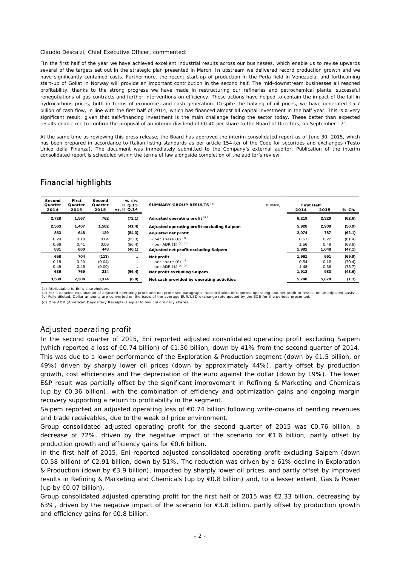#### Claudio Descalzi, Chief Executive Officer, commented:

*"In the first half of the year we have achieved excellent industrial results across our businesses, which enable us to revise upwards several of the targets set out in the strategic plan presented in March. In upstream we delivered record production growth and we have significantly contained costs. Furthermore, the recent start-up of production in the Perla field in Venezuela, and forthcoming start-up of Goliat in Norway will provide an important contribution in the second half. The mid-downstream businesses all reached profitability, thanks to the strong progress we have made in restructuring our refineries and petrochemical plants, successful renegotiations of gas contracts and further interventions on efficiency. These actions have helped to contain the impact of the fall in hydrocarbons prices, both in terms of economics and cash generation. Despite the halving of oil prices, we have generated €5.7 billion of cash flow, in line with the first half of 2014, which has financed almost all capital investment in the half year. This is a very significant result, given that self-financing investment is the main challenge facing the sector today. These better than expected results enable me to confirm the proposal of an interim dividend of €0.40 per share to the Board of Directors, on September 17".* 

At the same time as reviewing this press release, the Board has approved the interim consolidated report as of June 30, 2015, which has been prepared in accordance to Italian listing standards as per article 154-ter of the Code for securities and exchanges (Testo Unico della Finanza). The document was immediately submitted to the Company's external auditor. Publication of the interim consolidated report is scheduled within the terms of law alongside completion of the auditor's review.

### Financial highlights

| Second<br>Quarter<br>2014 | First<br>Quarter<br>2015 | Second<br>Quarter<br>2015 | % Ch.<br><b>II Q.15</b><br>vs. II Q.14 | SUMMARY GROUP RESULTS (a)                  | $(\in$ million) | <b>First Half</b><br>2014 | 2015  | % Ch.  |
|---------------------------|--------------------------|---------------------------|----------------------------------------|--------------------------------------------|-----------------|---------------------------|-------|--------|
| 2,728                     | 1,567                    | 762                       | (72.1)                                 | Adjusted operating profit <sup>(b)</sup>   |                 | 6,219                     | 2,329 | (62.6) |
| 2,563                     | 1,407                    | 1,502                     | (41.4)                                 | Adjusted operating profit excluding Saipem |                 | 5,926                     | 2,909 | (50.9) |
| 883                       | 648                      | 139                       | (84.3)                                 | Adjusted net profit                        |                 | 2,074                     | 787   | (62.1) |
| 0.24                      | 0.18                     | 0.04                      | (83.3)                                 | - per share $(\epsilon)$ <sup>(c)</sup>    |                 | 0.57                      | 0.22  | (61.4) |
| 0.66                      | 0.41                     | 0.09                      | (86.4)                                 | - per ADR $($ \$) $^{(c) (d)}$             |                 | 1.56                      | 0.49  | (68.6) |
| 831                       | 600                      | 448                       | (46.1)                                 | Adjusted net profit excluding Saipem       |                 | 1,981                     | 1,048 | (47.1) |
| 658                       | 704                      | (113)                     | $\cdot$ .                              | Net profit                                 |                 | 1,961                     | 591   | (69.9) |
| 0.18                      | 0.20                     | (0.04)                    | $\ddotsc$                              | - per share $(\epsilon)$ <sup>(c)</sup>    |                 | 0.54                      | 0.16  | (70.4) |
| 0.49                      | 0.45                     | (0.09)                    |                                        | - per ADR $($ \$) $^{(c) (d)}$             |                 | 1.48                      | 0.36  | (75.7) |
| 636                       | 769                      | 214                       | (66.4)                                 | Net profit excluding Saipem                |                 | 1,913                     | 983   | (48.6) |
| 3,589                     | 2,304                    | 3,374                     | (6.0)                                  | Net cash provided by operating activities  |                 | 5,740                     | 5,678 | (1.1)  |

(a) Attributable to Eni's shareholders.

(b) For a detailed explanation of adjusted operating profit and net profit see paragraph "Reconciliation of reported operating and net profit to results on an adjusted basis".<br>(c) Fully diluted. Dollar amounts are converte

(d) One ADR (American Depositary Receipt) is equal to two Eni ordinary shares.

### Adjusted operating profit

In the second quarter of 2015, Eni reported adjusted consolidated operating profit excluding Saipem (which reported a loss of €0.74 billion) of €1.50 billion, down by 41% from the second quarter of 2014. This was due to a lower performance of the Exploration & Production segment (down by €1.5 billion, or 49%) driven by sharply lower oil prices (down by approximately 44%), partly offset by production growth, cost efficiencies and the depreciation of the euro against the dollar (down by 19%). The lower E&P result was partially offset by the significant improvement in Refining & Marketing and Chemicals (up by €0.36 billion), with the combination of efficiency and optimization gains and ongoing margin recovery supporting a return to profitability in the segment.

Saipem reported an adjusted operating loss of €0.74 billion following write-downs of pending revenues and trade receivables, due to the weak oil price environment.

Group consolidated adjusted operating profit for the second quarter of 2015 was  $\epsilon$ 0.76 billion, a decrease of 72%, driven by the negative impact of the scenario for  $\epsilon$ 1.6 billion, partly offset by production growth and efficiency gains for €0.6 billion.

In the first half of 2015, Eni reported adjusted consolidated operating profit excluding Saipem (down €0.58 billion) of €2.91 billion, down by 51%. The reduction was driven by a 61% decline in Exploration & Production (down by €3.9 billion), impacted by sharply lower oil prices, and partly offset by improved results in Refining & Marketing and Chemicals (up by €0.8 billion) and, to a lesser extent, Gas & Power (up by  $\epsilon$ 0.07 billion).

Group consolidated adjusted operating profit for the first half of 2015 was €2.33 billion, decreasing by 63%, driven by the negative impact of the scenario for €3.8 billion, partly offset by production growth and efficiency gains for €0.8 billion.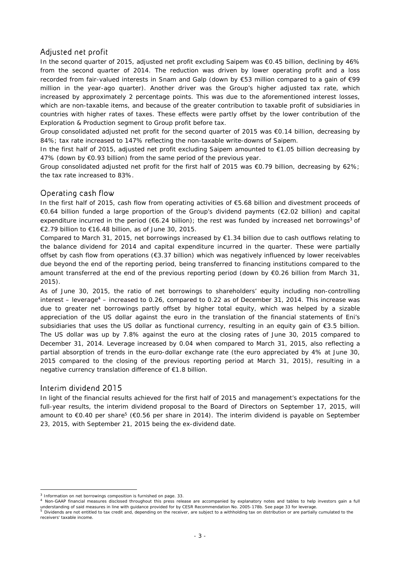### Adjusted net profit

In the second quarter of 2015, adjusted net profit excluding Saipem was €0.45 billion, declining by 46% from the second quarter of 2014. The reduction was driven by lower operating profit and a loss recorded from fair-valued interests in Snam and Galp (down by €53 million compared to a gain of €99 million in the year-ago quarter). Another driver was the Group's higher adjusted tax rate, which increased by approximately 2 percentage points. This was due to the aforementioned interest losses, which are non-taxable items, and because of the greater contribution to taxable profit of subsidiaries in countries with higher rates of taxes. These effects were partly offset by the lower contribution of the Exploration & Production segment to Group profit before tax.

Group consolidated adjusted net profit for the second quarter of 2015 was €0.14 billion, decreasing by 84%; tax rate increased to 147% reflecting the non-taxable write-downs of Saipem.

In the first half of 2015, adjusted net profit excluding Saipem amounted to €1.05 billion decreasing by 47% (down by €0.93 billion) from the same period of the previous year.

Group consolidated adjusted net profit for the first half of 2015 was €0.79 billion, decreasing by 62%; the tax rate increased to 83%.

### Operating cash flow

In the first half of 2015, cash flow from operating activities of €5.68 billion and divestment proceeds of €0.64 billion funded a large proportion of the Group's dividend payments (€2.02 billion) and capital expenditure incurred in the period ( $6.24$  billion); the rest was funded by increased net borrowings<sup>3</sup> of €2.79 billion to €16.48 billion, as of June 30, 2015.

Compared to March 31, 2015, net borrowings increased by €1.34 billion due to cash outflows relating to the balance dividend for 2014 and capital expenditure incurred in the quarter. These were partially offset by cash flow from operations (€3.37 billion) which was negatively influenced by lower receivables due beyond the end of the reporting period, being transferred to financing institutions compared to the amount transferred at the end of the previous reporting period (down by €0.26 billion from March 31, 2015).

As of June 30, 2015, the ratio of net borrowings to shareholders' equity including non-controlling interest – leverage<sup>4</sup> – increased to 0.26, compared to 0.22 as of December 31, 2014. This increase was due to greater net borrowings partly offset by higher total equity, which was helped by a sizable appreciation of the US dollar against the euro in the translation of the financial statements of Eni's subsidiaries that uses the US dollar as functional currency, resulting in an equity gain of €3.5 billion. The US dollar was up by 7.8% against the euro at the closing rates of June 30, 2015 compared to December 31, 2014. Leverage increased by 0.04 when compared to March 31, 2015, also reflecting a partial absorption of trends in the euro-dollar exchange rate (the euro appreciated by 4% at June 30, 2015 compared to the closing of the previous reporting period at March 31, 2015), resulting in a negative currency translation difference of €1.8 billion.

### Interim dividend 2015

 $\overline{a}$ 

In light of the financial results achieved for the first half of 2015 and management's expectations for the full-year results, the interim dividend proposal to the Board of Directors on September 17, 2015, will amount to €0.40 per share<sup>5</sup> (€0.56 per share in 2014). The interim dividend is payable on September 23, 2015, with September 21, 2015 being the ex-dividend date.

<sup>&</sup>lt;sup>3</sup> Information on net borrowings composition is furnished on page. 33.<br><sup>4</sup> Non-GAAP financial measures disclosed throughout this press release are accompanied by explanatory notes and tables to help investors gain a full understanding of said measures in line with guidance provided for by CESR Recommendation No. 2005-178b. See page 33 for leverage.<br><sup>5</sup> Dividends are not entitled to tax credit and, depending on the receiver, are subject to receivers' taxable income.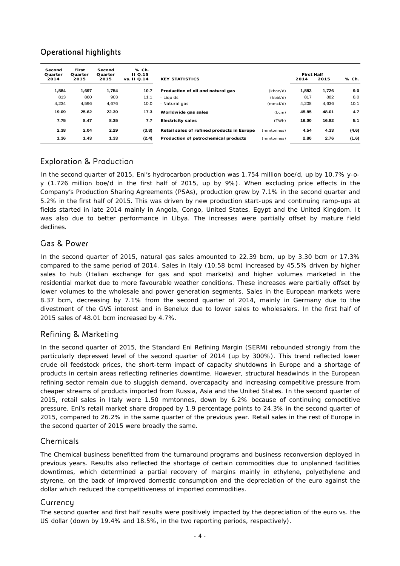# Operational highlights

| Second<br>Quarter<br>2014 | First<br>Quarter<br>2015 | Second<br>Quarter<br>2015 | % Ch.<br>$II$ Q.15<br>vs. 11 Q.14 | <b>KEY STATISTICS</b>                      |            | <b>First Half</b><br>2014 | 2015  | % Ch. |
|---------------------------|--------------------------|---------------------------|-----------------------------------|--------------------------------------------|------------|---------------------------|-------|-------|
| 1,584                     | 1,697                    | 1,754                     | 10.7                              | Production of oil and natural gas          | (kboe/d)   | 1.583                     | 1,726 | 9.0   |
| 813                       | 860                      | 903                       | 11.1                              | - Liauids                                  | (kbbI/d)   | 817                       | 882   | 8.0   |
| 4.234                     | 4,596                    | 4,676                     | 10.0                              | - Natural gas                              | (mmcf/d)   | 4,208                     | 4,636 | 10.1  |
| 19.09                     | 25.62                    | 22.39                     | 17.3                              | Worldwide gas sales                        | (bcm)      | 45.85                     | 48.01 | 4.7   |
| 7.75                      | 8.47                     | 8.35                      | 7.7                               | <b>Electricity sales</b>                   | (TWh)      | 16.00                     | 16.82 | 5.1   |
| 2.38                      | 2.04                     | 2.29                      | (3.8)                             | Retail sales of refined products in Europe | (mmtonnes) | 4.54                      | 4.33  | (4.6) |
| 1.36                      | 1.43                     | 1.33                      | (2.4)                             | Production of petrochemical products       | (mmtonnes) | 2.80                      | 2.76  | (1.6) |

## Exploration & Production

In the second quarter of 2015, Eni's hydrocarbon production was 1.754 million boe/d, up by 10.7% y-oy (1.726 million boe/d in the first half of 2015, up by 9%). When excluding price effects in the Company's Production Sharing Agreements (PSAs), production grew by 7.1% in the second quarter and 5.2% in the first half of 2015. This was driven by new production start-ups and continuing ramp-ups at fields started in late 2014 mainly in Angola, Congo, United States, Egypt and the United Kingdom. It was also due to better performance in Libya. The increases were partially offset by mature field declines.

## Gas & Power

In the second quarter of 2015, natural gas sales amounted to 22.39 bcm, up by 3.30 bcm or 17.3% compared to the same period of 2014. Sales in Italy (10.58 bcm) increased by 45.5% driven by higher sales to hub (Italian exchange for gas and spot markets) and higher volumes marketed in the residential market due to more favourable weather conditions. These increases were partially offset by lower volumes to the wholesale and power generation segments. Sales in the European markets were 8.37 bcm, decreasing by 7.1% from the second quarter of 2014, mainly in Germany due to the divestment of the GVS interest and in Benelux due to lower sales to wholesalers. In the first half of 2015 sales of 48.01 bcm increased by 4.7%.

## Refining & Marketing

In the second quarter of 2015, the Standard Eni Refining Margin (SERM) rebounded strongly from the particularly depressed level of the second quarter of 2014 (up by 300%). This trend reflected lower crude oil feedstock prices, the short-term impact of capacity shutdowns in Europe and a shortage of products in certain areas reflecting refineries downtime. However, structural headwinds in the European refining sector remain due to sluggish demand, overcapacity and increasing competitive pressure from cheaper streams of products imported from Russia, Asia and the United States. In the second quarter of 2015, retail sales in Italy were 1.50 mmtonnes, down by 6.2% because of continuing competitive pressure. Eni's retail market share dropped by 1.9 percentage points to 24.3% in the second quarter of 2015, compared to 26.2% in the same quarter of the previous year. Retail sales in the rest of Europe in the second quarter of 2015 were broadly the same.

## Chemicals

The Chemical business benefitted from the turnaround programs and business reconversion deployed in previous years. Results also reflected the shortage of certain commodities due to unplanned facilities downtimes, which determined a partial recovery of margins mainly in ethylene, polyethylene and styrene, on the back of improved domestic consumption and the depreciation of the euro against the dollar which reduced the competitiveness of imported commodities.

### **Currency**

The second quarter and first half results were positively impacted by the depreciation of the euro vs. the US dollar (down by 19.4% and 18.5%, in the two reporting periods, respectively).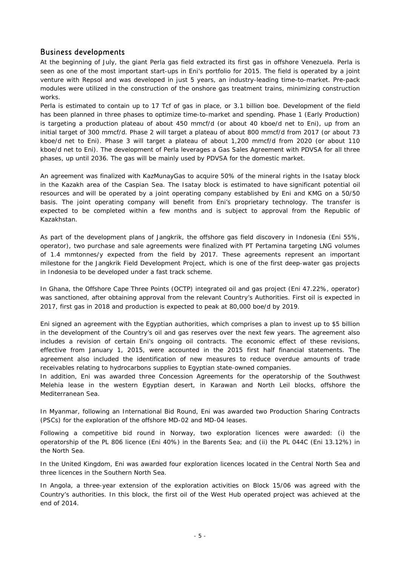### Business developments

At the beginning of July, the giant Perla gas field extracted its first gas in offshore Venezuela. Perla is seen as one of the most important start-ups in Eni's portfolio for 2015. The field is operated by a joint venture with Repsol and was developed in just 5 years, an industry-leading time-to-market. Pre-pack modules were utilized in the construction of the onshore gas treatment trains, minimizing construction works.

Perla is estimated to contain up to 17 Tcf of gas in place, or 3.1 billion boe. Development of the field has been planned in three phases to optimize time-to-market and spending. Phase 1 (Early Production) is targeting a production plateau of about 450 mmcf/d (or about 40 kboe/d net to Eni), up from an initial target of 300 mmcf/d. Phase 2 will target a plateau of about 800 mmcf/d from 2017 (or about 73 kboe/d net to Eni). Phase 3 will target a plateau of about 1,200 mmcf/d from 2020 (or about 110 kboe/d net to Eni). The development of Perla leverages a Gas Sales Agreement with PDVSA for all three phases, up until 2036. The gas will be mainly used by PDVSA for the domestic market.

An agreement was finalized with KazMunayGas to acquire 50% of the mineral rights in the Isatay block in the Kazakh area of the Caspian Sea. The Isatay block is estimated to have significant potential oil resources and will be operated by a joint operating company established by Eni and KMG on a 50/50 basis. The joint operating company will benefit from Eni's proprietary technology. The transfer is expected to be completed within a few months and is subject to approval from the Republic of Kazakhstan.

As part of the development plans of Jangkrik, the offshore gas field discovery in Indonesia (Eni 55%, operator), two purchase and sale agreements were finalized with PT Pertamina targeting LNG volumes of 1.4 mmtonnes/y expected from the field by 2017. These agreements represent an important milestone for the Jangkrik Field Development Project, which is one of the first deep-water gas projects in Indonesia to be developed under a fast track scheme.

In Ghana, the Offshore Cape Three Points (OCTP) integrated oil and gas project (Eni 47.22%, operator) was sanctioned, after obtaining approval from the relevant Country's Authorities. First oil is expected in 2017, first gas in 2018 and production is expected to peak at 80,000 boe/d by 2019.

Eni signed an agreement with the Egyptian authorities, which comprises a plan to invest up to \$5 billion in the development of the Country's oil and gas reserves over the next few years. The agreement also includes a revision of certain Eni's ongoing oil contracts. The economic effect of these revisions, effective from January 1, 2015, were accounted in the 2015 first half financial statements. The agreement also included the identification of new measures to reduce overdue amounts of trade receivables relating to hydrocarbons supplies to Egyptian state-owned companies.

In addition, Eni was awarded three Concession Agreements for the operatorship of the Southwest Melehia lease in the western Egyptian desert, in Karawan and North Leil blocks, offshore the Mediterranean Sea.

In Myanmar, following an International Bid Round, Eni was awarded two Production Sharing Contracts (PSCs) for the exploration of the offshore MD-02 and MD-04 leases.

Following a competitive bid round in Norway, two exploration licences were awarded: (i) the operatorship of the PL 806 licence (Eni 40%) in the Barents Sea; and (ii) the PL 044C (Eni 13.12%) in the North Sea.

In the United Kingdom, Eni was awarded four exploration licences located in the Central North Sea and three licences in the Southern North Sea.

In Angola, a three-year extension of the exploration activities on Block 15/06 was agreed with the Country's authorities. In this block, the first oil of the West Hub operated project was achieved at the end of 2014.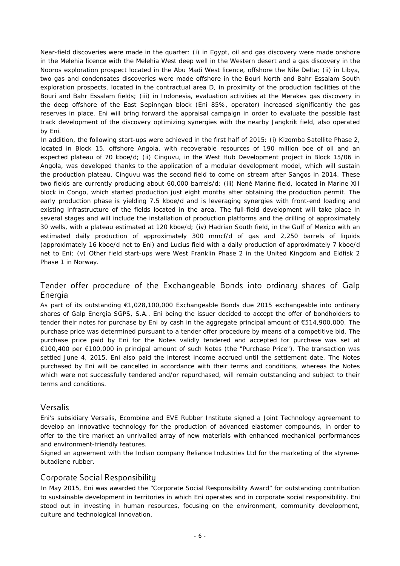Near-field discoveries were made in the quarter: (i) in Egypt, oil and gas discovery were made onshore in the Melehia licence with the Melehia West deep well in the Western desert and a gas discovery in the Nooros exploration prospect located in the Abu Madi West licence, offshore the Nile Delta; (ii) in Libya, two gas and condensates discoveries were made offshore in the Bouri North and Bahr Essalam South exploration prospects, located in the contractual area D, in proximity of the production facilities of the Bouri and Bahr Essalam fields; (iii) in Indonesia, evaluation activities at the Merakes gas discovery in the deep offshore of the East Sepinngan block (Eni 85%, operator) increased significantly the gas reserves in place. Eni will bring forward the appraisal campaign in order to evaluate the possible fast track development of the discovery optimizing synergies with the nearby Jangkrik field, also operated by Eni.

In addition, the following start-ups were achieved in the first half of 2015: (i) Kizomba Satellite Phase 2, located in Block 15, offshore Angola, with recoverable resources of 190 million boe of oil and an expected plateau of 70 kboe/d; (ii) Cinguvu, in the West Hub Development project in Block 15/06 in Angola, was developed thanks to the application of a modular development model, which will sustain the production plateau. Cinguvu was the second field to come on stream after Sangos in 2014. These two fields are currently producing about 60,000 barrels/d; (iii) Nené Marine field, located in Marine XII block in Congo, which started production just eight months after obtaining the production permit. The early production phase is yielding 7.5 kboe/d and is leveraging synergies with front-end loading and existing infrastructure of the fields located in the area. The full-field development will take place in several stages and will include the installation of production platforms and the drilling of approximately 30 wells, with a plateau estimated at 120 kboe/d; (iv) Hadrian South field, in the Gulf of Mexico with an estimated daily production of approximately 300 mmcf/d of gas and 2,250 barrels of liquids (approximately 16 kboe/d net to Eni) and Lucius field with a daily production of approximately 7 kboe/d net to Eni; (v) Other field start-ups were West Franklin Phase 2 in the United Kingdom and Eldfisk 2 Phase 1 in Norway.

### Tender offer procedure of the Exchangeable Bonds into ordinary shares of Galp Energia

As part of its outstanding €1,028,100,000 Exchangeable Bonds due 2015 exchangeable into ordinary shares of Galp Energia SGPS, S.A., Eni being the issuer decided to accept the offer of bondholders to tender their notes for purchase by Eni by cash in the aggregate principal amount of €514,900,000. The purchase price was determined pursuant to a tender offer procedure by means of a competitive bid. The purchase price paid by Eni for the Notes validly tendered and accepted for purchase was set at €100,400 per €100,000 in principal amount of such Notes (the "Purchase Price"). The transaction was settled June 4, 2015. Eni also paid the interest income accrued until the settlement date. The Notes purchased by Eni will be cancelled in accordance with their terms and conditions, whereas the Notes which were not successfully tendered and/or repurchased, will remain outstanding and subject to their terms and conditions.

### Versalis

Eni's subsidiary Versalis, Ecombine and EVE Rubber Institute signed a Joint Technology agreement to develop an innovative technology for the production of advanced elastomer compounds, in order to offer to the tire market an unrivalled array of new materials with enhanced mechanical performances and environment-friendly features.

Signed an agreement with the Indian company Reliance Industries Ltd for the marketing of the styrenebutadiene rubber.

## Corporate Social Responsibility

In May 2015, Eni was awarded the "Corporate Social Responsibility Award" for outstanding contribution to sustainable development in territories in which Eni operates and in corporate social responsibility. Eni stood out in investing in human resources, focusing on the environment, community development, culture and technological innovation.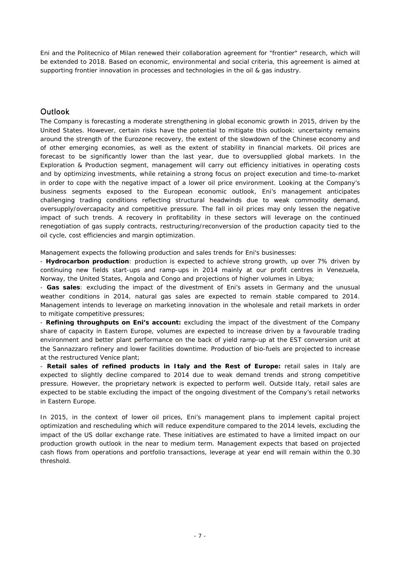Eni and the Politecnico of Milan renewed their collaboration agreement for "frontier" research, which will be extended to 2018. Based on economic, environmental and social criteria, this agreement is aimed at supporting frontier innovation in processes and technologies in the oil & gas industry.

## **Outlook**

The Company is forecasting a moderate strengthening in global economic growth in 2015, driven by the United States. However, certain risks have the potential to mitigate this outlook: uncertainty remains around the strength of the Eurozone recovery, the extent of the slowdown of the Chinese economy and of other emerging economies, as well as the extent of stability in financial markets. Oil prices are forecast to be significantly lower than the last year, due to oversupplied global markets. In the Exploration & Production segment, management will carry out efficiency initiatives in operating costs and by optimizing investments, while retaining a strong focus on project execution and time-to-market in order to cope with the negative impact of a lower oil price environment. Looking at the Company's business segments exposed to the European economic outlook, Eni's management anticipates challenging trading conditions reflecting structural headwinds due to weak commodity demand, oversupply/overcapacity and competitive pressure. The fall in oil prices may only lessen the negative impact of such trends. A recovery in profitability in these sectors will leverage on the continued renegotiation of gas supply contracts, restructuring/reconversion of the production capacity tied to the oil cycle, cost efficiencies and margin optimization.

Management expects the following production and sales trends for Eni's businesses:

- **Hydrocarbon production**: production is expected to achieve strong growth, up over 7% driven by continuing new fields start-ups and ramp-ups in 2014 mainly at our profit centres in Venezuela, Norway, the United States, Angola and Congo and projections of higher volumes in Libya;

- **Gas sales**: excluding the impact of the divestment of Eni's assets in Germany and the unusual weather conditions in 2014, natural gas sales are expected to remain stable compared to 2014. Management intends to leverage on marketing innovation in the wholesale and retail markets in order to mitigate competitive pressures;

- **Refining throughputs on Eni's account:** excluding the impact of the divestment of the Company share of capacity in Eastern Europe, volumes are expected to increase driven by a favourable trading environment and better plant performance on the back of yield ramp-up at the EST conversion unit at the Sannazzaro refinery and lower facilities downtime. Production of bio-fuels are projected to increase at the restructured Venice plant;

- **Retail sales of refined products in Italy and the Rest of Europe:** retail sales in Italy are expected to slightly decline compared to 2014 due to weak demand trends and strong competitive pressure. However, the proprietary network is expected to perform well. Outside Italy, retail sales are expected to be stable excluding the impact of the ongoing divestment of the Company's retail networks in Eastern Europe.

In 2015, in the context of lower oil prices, Eni's management plans to implement capital project optimization and rescheduling which will reduce expenditure compared to the 2014 levels, excluding the impact of the US dollar exchange rate. These initiatives are estimated to have a limited impact on our production growth outlook in the near to medium term. Management expects that based on projected cash flows from operations and portfolio transactions, leverage at year end will remain within the 0.30 threshold.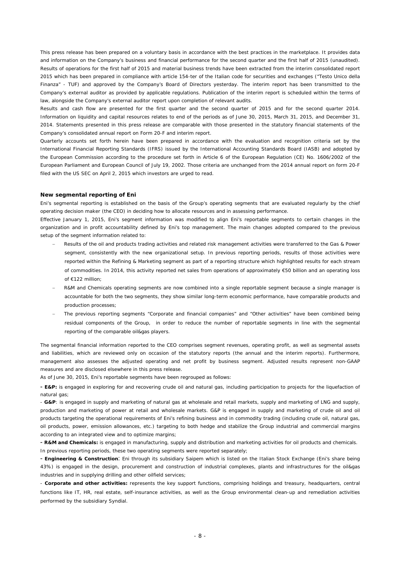This press release has been prepared on a voluntary basis in accordance with the best practices in the marketplace. It provides data and information on the Company's business and financial performance for the second quarter and the first half of 2015 (unaudited). Results of operations for the first half of 2015 and material business trends have been extracted from the interim consolidated report 2015 which has been prepared in compliance with article 154-ter of the Italian code for securities and exchanges ("Testo Unico della Finanza" - TUF) and approved by the Company's Board of Directors yesterday. The interim report has been transmitted to the Company's external auditor as provided by applicable regulations. Publication of the interim report is scheduled within the terms of law, alongside the Company's external auditor report upon completion of relevant audits.

Results and cash flow are presented for the first quarter and the second quarter of 2015 and for the second quarter 2014. Information on liquidity and capital resources relates to end of the periods as of June 30, 2015, March 31, 2015, and December 31, 2014. Statements presented in this press release are comparable with those presented in the statutory financial statements of the Company's consolidated annual report on Form 20-F and interim report.

Quarterly accounts set forth herein have been prepared in accordance with the evaluation and recognition criteria set by the International Financial Reporting Standards (IFRS) issued by the International Accounting Standards Board (IASB) and adopted by the European Commission according to the procedure set forth in Article 6 of the European Regulation (CE) No. 1606/2002 of the European Parliament and European Council of July 19, 2002. Those criteria are unchanged from the 2014 annual report on form 20-F filed with the US SEC on April 2, 2015 which investors are urged to read.

#### **New segmental reporting of Eni**

Eni's segmental reporting is established on the basis of the Group's operating segments that are evaluated regularly by the chief operating decision maker (the CEO) in deciding how to allocate resources and in assessing performance.

Effective January 1, 2015, Eni's segment information was modified to align Eni's reportable segments to certain changes in the organization and in profit accountability defined by Eni's top management. The main changes adopted compared to the previous setup of the segment information related to:

- Results of the oil and products trading activities and related risk management activities were transferred to the Gas & Power segment, consistently with the new organizational setup. In previous reporting periods, results of those activities were reported within the Refining & Marketing segment as part of a reporting structure which highlighted results for each stream of commodities. In 2014, this activity reported net sales from operations of approximately €50 billion and an operating loss of €122 million;
- R&M and Chemicals operating segments are now combined into a single reportable segment because a single manager is accountable for both the two segments, they show similar long-term economic performance, have comparable products and production processes;
- The previous reporting segments "Corporate and financial companies" and "Other activities" have been combined being residual components of the Group, in order to reduce the number of reportable segments in line with the segmental reporting of the comparable oil&gas players.

The segmental financial information reported to the CEO comprises segment revenues, operating profit, as well as segmental assets and liabilities, which are reviewed only on occasion of the statutory reports (the annual and the interim reports). Furthermore, management also assesses the adjusted operating and net profit by business segment. Adjusted results represent non-GAAP measures and are disclosed elsewhere in this press release.

As of June 30, 2015, Eni's reportable segments have been regrouped as follows:

- **E&P:** is engaged in exploring for and recovering crude oil and natural gas, including participation to projects for the liquefaction of natural gas;

- **G&P**: is engaged in supply and marketing of natural gas at wholesale and retail markets, supply and marketing of LNG and supply, production and marketing of power at retail and wholesale markets. G&P is engaged in supply and marketing of crude oil and oil products targeting the operational requirements of Eni's refining business and in commodity trading (including crude oil, natural gas, oil products, power, emission allowances, etc.) targeting to both hedge and stabilize the Group industrial and commercial margins according to an integrated view and to optimize margins;

- **R&M and Chemicals:** is engaged in manufacturing, supply and distribution and marketing activities for oil products and chemicals. In previous reporting periods, these two operating segments were reported separately;

- **Engineering & Construction**: Eni through its subsidiary Saipem which is listed on the Italian Stock Exchange (Eni's share being 43%) is engaged in the design, procurement and construction of industrial complexes, plants and infrastructures for the oil&gas industries and in supplying drilling and other oilfield services;

- **Corporate and other activities:** represents the key support functions, comprising holdings and treasury, headquarters, central functions like IT, HR, real estate, self-insurance activities, as well as the Group environmental clean-up and remediation activities performed by the subsidiary Syndial.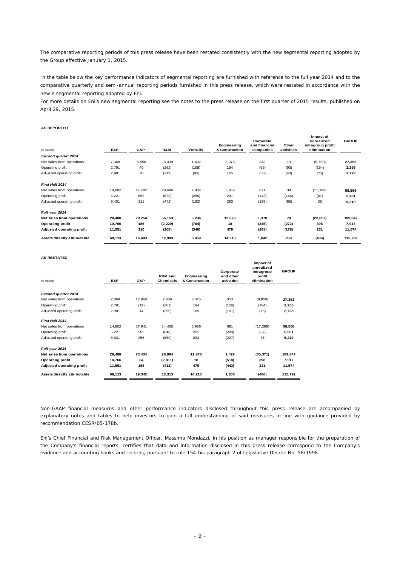The comparative reporting periods of this press release have been restated consistently with the new segmental reporting adopted by the Group effective January 1, 2015.

In the table below the key performance indicators of segmental reporting are furnished with reference to the full year 2014 and to the comparative quarterly and semi-annual reporting periods furnished in this press release, which were restated in accordance with the new e segmental reporting adopted by Eni.

For more details on Eni's new segmental reporting see the notes to the press release on the first quarter of 2015 results, published on April 29, 2015.

#### **AS REPORTED**

| $(\in$ million)                  | E&P    | G&P    | R&M      | <b>Versalis</b> | Engineering<br>& Construction | Corporate<br>and financial<br>companies | Other<br>activities | Impact of<br>unrealized<br>intragroup profit<br>elimination | <b>GROUP</b> |
|----------------------------------|--------|--------|----------|-----------------|-------------------------------|-----------------------------------------|---------------------|-------------------------------------------------------------|--------------|
| Second quarter 2014              |        |        |          |                 |                               |                                         |                     |                                                             |              |
| Net sales from operations        | 7,368  | 5,558  | 15,339   | 1,402           | 3,075                         | 342                                     | 19                  | (5,750)                                                     | 27,353       |
| Operating profit                 | 2,791  | 40     | (262)    | (158)           | 164                           | (63)                                    | (93)                | (164)                                                       | 2,255        |
| Adjusted operating profit        | 2,981  | 70     | (219)    | (93)            | 165                           | (58)                                    | (43)                | (75)                                                        | 2,728        |
| First Half 2014                  |        |        |          |                 |                               |                                         |                     |                                                             |              |
| Net sales from operations        | 14,802 | 14,782 | 28,686   | 2,804           | 5,966                         | 671                                     | 34                  | (11, 189)                                                   | 56,556       |
| Operating profit                 | 6,221  | 653    | (623)    | (286)           | 291                           | (143)                                   | (145)               | (67)                                                        | 5,901        |
| Adjusted operating profit        | 6,431  | 311    | (442)    | (182)           | 293                           | (139)                                   | (88)                | 35                                                          | 6,219        |
| Full year 2014                   |        |        |          |                 |                               |                                         |                     |                                                             |              |
| Net sales from operations        | 28,488 | 28,250 | 56,153   | 5,284           | 12,873                        | 1,378                                   | 78                  | (22, 657)                                                   | 109,847      |
| <b>Operating profit</b>          | 10,766 | 186    | (2, 229) | (704)           | 18                            | (246)                                   | (272)               | 398                                                         | 7,917        |
| <b>Adjusted operating profit</b> | 11,551 | 310    | (208)    | (346)           | 479                           | (265)                                   | (178)               | 231                                                         | 11,574       |
| Assets directly attributable     | 68,113 | 16,603 | 12,993   | 3,059           | 14,210                        | 1,042                                   | 258                 | (486)                                                       | 115,792      |

#### **AS RESTATED**

| $(6$ million)                    | E&P    | G&P    | R&M and<br><b>Chemicals</b> | Engineering<br>& Construction | Corporate<br>and other<br>activities | Impact of<br>unrealized<br>intragroup<br>profit<br>elimination | <b>GROUP</b> |
|----------------------------------|--------|--------|-----------------------------|-------------------------------|--------------------------------------|----------------------------------------------------------------|--------------|
| Second quarter 2014              |        |        |                             |                               |                                      |                                                                |              |
| Net sales from operations        | 7,368  | 17.968 | 7,439                       | 3,075                         | 353                                  | (8, 850)                                                       | 27,353       |
| Operating profit                 | 2,791  | (19)   | (361)                       | 164                           | (156)                                | (164)                                                          | 2,255        |
| Adjusted operating profit        | 2,981  | 14     | (256)                       | 165                           | (101)                                | (75)                                                           | 2,728        |
| First Half 2014                  |        |        |                             |                               |                                      |                                                                |              |
| Net sales from operations        | 14,802 | 37,941 | 14,455                      | 5,966                         | 691                                  | (17, 299)                                                      | 56,556       |
| Operating profit                 | 6,221  | 592    | (848)                       | 291                           | (288)                                | (67)                                                           | 5,901        |
| Adjusted operating profit        | 6,431  | 256    | (569)                       | 293                           | (227)                                | 35                                                             | 6,219        |
| Full year 2014                   |        |        |                             |                               |                                      |                                                                |              |
| Net sales from operations        | 28,488 | 73,434 | 28,994                      | 12,873                        | 1,429                                | (35, 371)                                                      | 109,847      |
| <b>Operating profit</b>          | 10,766 | 64     | (2, 811)                    | 18                            | (518)                                | 398                                                            | 7,917        |
| <b>Adjusted operating profit</b> | 11,551 | 168    | (412)                       | 479                           | (443)                                | 231                                                            | 11,574       |
| Assets directly attributable     | 68,113 | 19,342 | 13,313                      | 14,210                        | 1,300                                | (486)                                                          | 115,792      |

Non-GAAP financial measures and other performance indicators disclosed throughout this press release are accompanied by explanatory notes and tables to help investors to gain a full understanding of said measures in line with guidance provided by recommendation CESR/05-178b.

*Eni's Chief Financial and Risk Management Officer, Massimo Mondazzi, in his position as manager responsible for the preparation of*  the Company's financial reports, certifies that data and information disclosed in this press release correspond to the Company's *evidence and accounting books and records, pursuant to rule 154-bis paragraph 2 of Legislative Decree No. 58/1998.*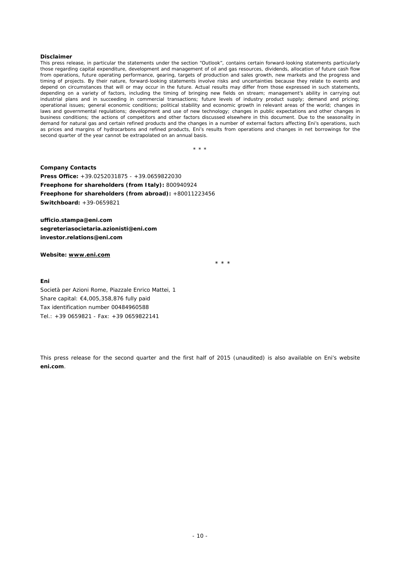#### **Disclaimer**

*This press release, in particular the statements under the section "Outlook", contains certain forward-looking statements particularly those regarding capital expenditure, development and management of oil and gas resources, dividends, allocation of future cash flow from operations, future operating performance, gearing, targets of production and sales growth, new markets and the progress and*  timing of projects. By their nature, forward-looking statements involve risks and uncertainties because they relate to events and *depend on circumstances that will or may occur in the future. Actual results may differ from those expressed in such statements, depending on a variety of factors, including the timing of bringing new fields on stream; management's ability in carrying out industrial plans and in succeeding in commercial transactions; future levels of industry product supply; demand and pricing; operational issues; general economic conditions; political stability and economic growth in relevant areas of the world; changes in*  laws and governmental regulations; development and use of new technology; changes in public expectations and other changes in *business conditions; the actions of competitors and other factors discussed elsewhere in this document. Due to the seasonality in demand for natural gas and certain refined products and the changes in a number of external factors affecting Eni's operations, such as prices and margins of hydrocarbons and refined products, Eni's results from operations and changes in net borrowings for the second quarter of the year cannot be extrapolated on an annual basis.* 

\* \* \*

**Company Contacts Press Office:** +39.0252031875 - +39.0659822030 **Freephone for shareholders (from Italy):** 800940924 **Freephone for shareholders (from abroad):** +80011223456 **Switchboard:** +39-0659821

**ufficio.stampa@eni.com segreteriasocietaria.azionisti@eni.com investor.relations@eni.com** 

#### **Website: www.eni.com**

 $\star$  \* \* \*

#### **Eni**

Società per Azioni Rome, Piazzale Enrico Mattei, 1 Share capital: €4,005,358,876 fully paid Tax identification number 00484960588 Tel.: +39 0659821 - Fax: +39 0659822141

This press release for the second quarter and the first half of 2015 (unaudited) is also available on Eni's website **eni.com**.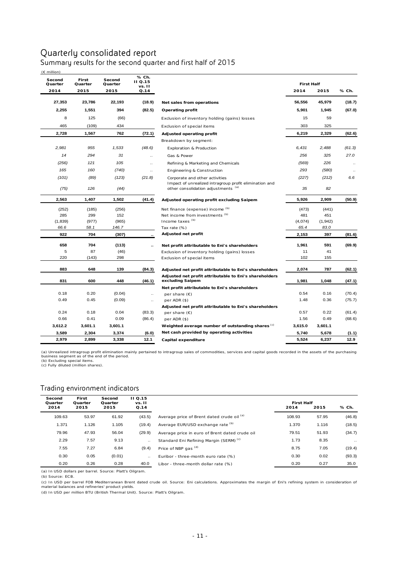## Quarterly consolidated report Summary results for the second quarter and first half of 2015

| (€ million)       |                  |                   |                                   |                                                        |                   |          |                      |
|-------------------|------------------|-------------------|-----------------------------------|--------------------------------------------------------|-------------------|----------|----------------------|
| Second<br>Quarter | First<br>Quarter | Second<br>Quarter | % Ch.<br><b>II</b> Q.15<br>vs. II |                                                        | <b>First Half</b> |          |                      |
| 2014              | 2015             | 2015              | Q.14                              |                                                        | 2014              | 2015     | % Ch.                |
| 27,353            | 23,786           | 22,193            | (18.9)                            | Net sales from operations                              | 56,556            | 45,979   | (18.7)               |
| 2,255             | 1,551            | 394               | (82.5)                            | Operating profit                                       | 5,901             | 1,945    | (67.0)               |
| 8                 | 125              | (66)              |                                   | Exclusion of inventory holding (gains) losses          | 15                | 59       |                      |
| 465               | (109)            | 434               |                                   | Exclusion of special items                             | 303               | 325      |                      |
| 2,728             | 1,567            | 762               | (72.1)                            | Adjusted operating profit                              | 6,219             | 2,329    | (62.6)               |
|                   |                  |                   |                                   | Breakdown by segment:                                  |                   |          |                      |
| 2,981             | 955              | 1,533             | (48.6)                            | <b>Exploration &amp; Production</b>                    | 6,431             | 2,488    | (61.3)               |
| 14                | 294              | 31                | $\cdot$                           | Gas & Power                                            | 256               | 325      | 27.0                 |
| (256)             | 121              | 105               | $\ddotsc$                         | Refining & Marketing and Chemicals                     | (569)             | 226      | $\ddotsc$            |
| 165               | 160              | (740)             | $\ddotsc$                         | Engineering & Construction                             | 293               | (580)    | $\ddot{\phantom{a}}$ |
| (101)             | (89)             | (123)             | (21.8)                            | Corporate and other activities                         | (227)             | (212)    | 6.6                  |
|                   |                  |                   |                                   | Impact of unrealized intragroup profit elimination and |                   |          |                      |
| (75)              | 126              | (44)              |                                   | other consolidation adjustments (a)                    | 35                | 82       |                      |
| 2,563             | 1,407            | 1,502             | (41.4)                            | Adjusted operating profit excluding Saipem             | 5,926             | 2,909    | (50.9)               |
| (252)             | (185)            | (256)             |                                   | Net finance (expense) income (b)                       | (473)             | (441)    |                      |
| 285               | 299              | 152               |                                   | Net income from investments (b)                        | 481               | 451      |                      |
| (1,839)           | (977)            | (965)             |                                   | Income taxes (b)                                       | (4,074)           | (1, 942) |                      |
| 66.6              | 58.1             | 146.7             |                                   | Tax rate (%)                                           | 65.4              | 83.0     |                      |
| 922               | 704              | (307)             |                                   | Adjusted net profit                                    | 2,153             | 397      | (81.6)               |
| 658               | 704              | (113)             |                                   | Net profit attributable to Eni's shareholders          | 1,961             | 591      | (69.9)               |
| 5                 | 87               | (46)              |                                   | Exclusion of inventory holding (gains) losses          | 11                | 41       |                      |
| 220               | (143)            | 298               |                                   | Exclusion of special items                             | 102               | 155      |                      |
| 883               | 648              | 139               | (84.3)                            | Adjusted net profit attributable to Eni's shareholders | 2,074             | 787      | (62.1)               |
|                   |                  |                   |                                   | Adjusted net profit attributable to Eni's shareholders |                   |          |                      |
| 831               | 600              | 448               | (46.1)                            | excluding Saipem                                       | 1,981             | 1,048    | (47.1)               |
|                   |                  |                   |                                   | Net profit attributable to Eni's shareholders          |                   |          |                      |
| 0.18              | 0.20             | (0.04)            | $\ddotsc$                         | per share $(E)$                                        | 0.54              | 0.16     | (70.4)               |
| 0.49              | 0.45             | (0.09)            | $\ddotsc$                         | per ADR (\$)                                           | 1.48              | 0.36     | (75.7)               |
|                   |                  |                   |                                   | Adjusted net profit attributable to Eni's shareholders |                   |          |                      |
| 0.24              | 0.18             | 0.04              | (83.3)                            | per share $(E)$                                        | 0.57              | 0.22     | (61.4)               |
| 0.66              | 0.41             | 0.09              | (86.4)                            | per ADR (\$)                                           | 1.56              | 0.49     | (68.6)               |
| 3,612.2           | 3,601.1          | 3,601.1           |                                   | Weighted average number of outstanding shares (c)      | 3,615.0           | 3,601.1  |                      |
| 3,589             | 2,304            | 3,374             | (6.0)                             | Net cash provided by operating activities              | 5,740             | 5,678    | (1.1)                |
| 2,979             | 2,899            | 3,338             | 12.1                              | Capital expenditure                                    | 5,524             | 6,237    | 12.9                 |

(a) Unrealized intragroup profit elimination mainly pertained to intragroup sales of commodities, services and capital goods recorded in the assets of the purchasing<br>business segment as of the end of the period.<br>(b) Exclud

#### Trading environment indicators

| Second  | First   |                   |                          |                                                    |                   |       |           |
|---------|---------|-------------------|--------------------------|----------------------------------------------------|-------------------|-------|-----------|
| Quarter | Quarter | Second<br>Quarter | <b>II Q.15</b><br>vs. II |                                                    | <b>First Half</b> |       |           |
| 2014    | 2015    | 2015              | Q.14                     |                                                    | 2014              | 2015  | % Ch.     |
| 109.63  | 53.97   | 61.92             | (43.5)                   | Average price of Brent dated crude oil (a)         | 108.93            | 57.95 | (46.8)    |
| 1.371   | 1.126   | 1.105             | (19.4)                   | Average EUR/USD exchange rate (b)                  | 1.370             | 1.116 | (18.5)    |
| 79.96   | 47.93   | 56.04             | (29.9)                   | Average price in euro of Brent dated crude oil     | 79.51             | 51.93 | (34.7)    |
| 2.29    | 7.57    | 9.13              | $\ddotsc$                | Standard Eni Refining Margin (SERM) <sup>(c)</sup> | 1.73              | 8.35  | $\ddotsc$ |
| 7.55    | 7.27    | 6.84              | (9.4)                    | Price of NBP gas <sup>(d)</sup>                    | 8.75              | 7.05  | (19.4)    |
| 0.30    | 0.05    | (0.01)            | $\ddotsc$                | Euribor - three-month euro rate (%)                | 0.30              | 0.02  | (93.3)    |
| 0.20    | 0.26    | 0.28              | 40.0                     | Libor - three-month dollar rate (%)                | 0.20              | 0.27  | 35.0      |

(a) In USD dollars per barrel. Source: Platt's Oilgram.

(b) Source: ECB.

(c) In USD per barrel FOB Mediterranean Brent dated crude oil. Source: Eni calculations. Approximates the margin of Eni's refining system in consideration of material balances and refineries' product yields.

(d) In USD per million BTU (British Thermal Unit). Source: Platt's Oilgram.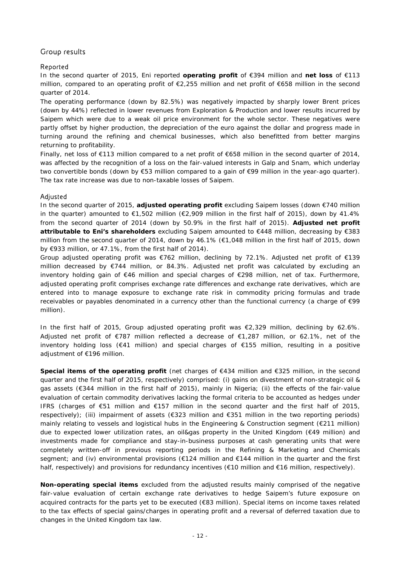## Group results

### Reported

In the second quarter of 2015, Eni reported **operating profit** of €394 million and **net loss** of €113 million, compared to an operating profit of €2,255 million and net profit of €658 million in the second quarter of 2014.

The operating performance (down by 82.5%) was negatively impacted by sharply lower Brent prices (down by 44%) reflected in lower revenues from Exploration & Production and lower results incurred by Saipem which were due to a weak oil price environment for the whole sector. These negatives were partly offset by higher production, the depreciation of the euro against the dollar and progress made in turning around the refining and chemical businesses, which also benefitted from better margins returning to profitability.

Finally, net loss of €113 million compared to a net profit of €658 million in the second quarter of 2014, was affected by the recognition of a loss on the fair-valued interests in Galp and Snam, which underlay two convertible bonds (down by €53 million compared to a gain of €99 million in the year-ago quarter). The tax rate increase was due to non-taxable losses of Saipem.

### Adjusted

In the second quarter of 2015, **adjusted operating profit** excluding Saipem losses (down €740 million in the quarter) amounted to  $\epsilon$ 1,502 million ( $\epsilon$ 2,909 million in the first half of 2015), down by 41.4% from the second quarter of 2014 (down by 50.9% in the first half of 2015). **Adjusted net profit attributable to Eni's shareholders** excluding Saipem amounted to €448 million, decreasing by €383 million from the second quarter of 2014, down by 46.1% (€1,048 million in the first half of 2015, down by €933 million, or 47.1%, from the first half of 2014).

Group adjusted operating profit was €762 million, declining by 72.1%. Adjusted net profit of €139 million decreased by €744 million, or 84.3%. Adjusted net profit was calculated by excluding an inventory holding gain of €46 million and special charges of €298 million, net of tax. Furthermore, adjusted operating profit comprises exchange rate differences and exchange rate derivatives, which are entered into to manage exposure to exchange rate risk in commodity pricing formulas and trade receivables or payables denominated in a currency other than the functional currency (a charge of €99 million).

In the first half of 2015, Group adjusted operating profit was  $\epsilon$ 2,329 million, declining by 62.6%. Adjusted net profit of €787 million reflected a decrease of €1,287 million, or 62.1%, net of the inventory holding loss (€41 million) and special charges of €155 million, resulting in a positive adjustment of €196 million.

**Special items of the operating profit** (net charges of €434 million and €325 million, in the second quarter and the first half of 2015, respectively) comprised: (i) gains on divestment of non-strategic oil & gas assets (€344 million in the first half of 2015), mainly in Nigeria; (ii) the effects of the fair-value evaluation of certain commodity derivatives lacking the formal criteria to be accounted as hedges under IFRS (charges of €51 million and €157 million in the second quarter and the first half of 2015, respectively); (iii) impairment of assets (€323 million and €351 million in the two reporting periods) mainly relating to vessels and logistical hubs in the Engineering & Construction segment (€211 million) due to expected lower utilization rates, an oil&gas property in the United Kingdom (€49 million) and investments made for compliance and stay-in-business purposes at cash generating units that were completely written-off in previous reporting periods in the Refining & Marketing and Chemicals segment; and (iv) environmental provisions (€124 million and €144 million in the quarter and the first half, respectively) and provisions for redundancy incentives ( $\epsilon$ 10 million and  $\epsilon$ 16 million, respectively).

**Non-operating special items** excluded from the adjusted results mainly comprised of the negative fair-value evaluation of certain exchange rate derivatives to hedge Saipem's future exposure on acquired contracts for the parts yet to be executed (€83 million). Special items on income taxes related to the tax effects of special gains/charges in operating profit and a reversal of deferred taxation due to changes in the United Kingdom tax law.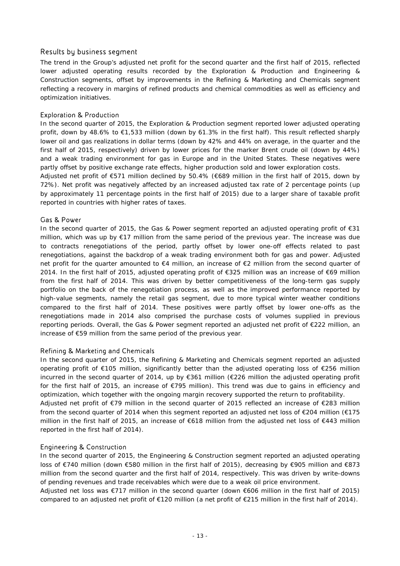### Results by business segment

The trend in the Group's adjusted net profit for the second quarter and the first half of 2015, reflected lower adjusted operating results recorded by the Exploration & Production and Engineering & Construction segments, offset by improvements in the Refining & Marketing and Chemicals segment reflecting a recovery in margins of refined products and chemical commodities as well as efficiency and optimization initiatives.

### Exploration & Production

In the second quarter of 2015, the Exploration & Production segment reported lower adjusted operating profit, down by 48.6% to €1,533 million (down by 61.3% in the first half). This result reflected sharply lower oil and gas realizations in dollar terms (down by 42% and 44% on average, in the quarter and the first half of 2015, respectively) driven by lower prices for the marker Brent crude oil (down by 44%) and a weak trading environment for gas in Europe and in the United States. These negatives were partly offset by positive exchange rate effects, higher production sold and lower exploration costs.

Adjusted net profit of €571 million declined by 50.4% (€689 million in the first half of 2015, down by 72%). Net profit was negatively affected by an increased adjusted tax rate of 2 percentage points (up by approximately 11 percentage points in the first half of 2015) due to a larger share of taxable profit reported in countries with higher rates of taxes.

### Gas & Power

In the second quarter of 2015, the Gas & Power segment reported an adjusted operating profit of €31 million, which was up by €17 million from the same period of the previous year. The increase was due to contracts renegotiations of the period, partly offset by lower one-off effects related to past renegotiations, against the backdrop of a weak trading environment both for gas and power. Adjusted net profit for the quarter amounted to €4 million, an increase of €2 million from the second quarter of 2014. In the first half of 2015, adjusted operating profit of €325 million was an increase of €69 million from the first half of 2014. This was driven by better competitiveness of the long-term gas supply portfolio on the back of the renegotiation process, as well as the improved performance reported by high-value segments, namely the retail gas segment, due to more typical winter weather conditions compared to the first half of 2014. These positives were partly offset by lower one-offs as the renegotiations made in 2014 also comprised the purchase costs of volumes supplied in previous reporting periods. Overall, the Gas & Power segment reported an adjusted net profit of €222 million, an increase of €59 million from the same period of the previous year.

### Refining & Marketing and Chemicals

In the second quarter of 2015, the Refining & Marketing and Chemicals segment reported an adjusted operating profit of €105 million, significantly better than the adjusted operating loss of €256 million incurred in the second quarter of 2014, up by €361 million (€226 million the adjusted operating profit for the first half of 2015, an increase of €795 million). This trend was due to gains in efficiency and optimization, which together with the ongoing margin recovery supported the return to profitability. Adjusted net profit of €79 million in the second quarter of 2015 reflected an increase of €283 million

from the second quarter of 2014 when this segment reported an adjusted net loss of €204 million (€175 million in the first half of 2015, an increase of €618 million from the adjusted net loss of €443 million reported in the first half of 2014).

### Engineering & Construction

In the second quarter of 2015, the Engineering & Construction segment reported an adjusted operating loss of €740 million (down €580 million in the first half of 2015), decreasing by €905 million and €873 million from the second quarter and the first half of 2014, respectively. This was driven by write-downs of pending revenues and trade receivables which were due to a weak oil price environment.

Adjusted net loss was €717 million in the second quarter (down €606 million in the first half of 2015) compared to an adjusted net profit of €120 million (a net profit of €215 million in the first half of 2014).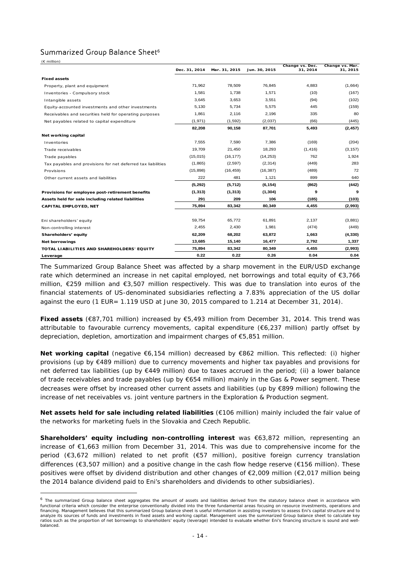### Summarized Group Balance Sheet<sup>6</sup>

 $\overline{a}$ 

|                                                              | Dec. 31, 2014 | Mar. 31, 2015 | Jun. 30, 2015 | Change vs. Dec.<br>31, 2014 | Change vs. Mar.<br>31, 2015 |
|--------------------------------------------------------------|---------------|---------------|---------------|-----------------------------|-----------------------------|
| <b>Fixed assets</b>                                          |               |               |               |                             |                             |
| Property, plant and equipment                                | 71,962        | 78,509        | 76.845        | 4,883                       | (1,664)                     |
| Inventories - Compulsory stock                               | 1,581         | 1,738         | 1,571         | (10)                        | (167)                       |
| Intangible assets                                            | 3,645         | 3,653         | 3,551         | (94)                        | (102)                       |
| Equity-accounted investments and other investments           | 5,130         | 5,734         | 5,575         | 445                         | (159)                       |
| Receivables and securities held for operating purposes       | 1,861         | 2,116         | 2,196         | 335                         | 80                          |
| Net payables related to capital expenditure                  | (1, 971)      | (1, 592)      | (2,037)       | (66)                        | (445)                       |
|                                                              | 82,208        | 90,158        | 87,701        | 5,493                       | (2, 457)                    |
| Net working capital                                          |               |               |               |                             |                             |
| Inventories                                                  | 7,555         | 7,590         | 7,386         | (169)                       | (204)                       |
| Trade receivables                                            | 19,709        | 21,450        | 18,293        | (1, 416)                    | (3, 157)                    |
| Trade payables                                               | (15, 015)     | (16, 177)     | (14, 253)     | 762                         | 1,924                       |
| Tax payables and provisions for net deferred tax liabilities | (1,865)       | (2,597)       | (2, 314)      | (449)                       | 283                         |
| Provisions                                                   | (15, 898)     | (16, 459)     | (16, 387)     | (489)                       | 72                          |
| Other current assets and liabilities                         | 222           | 481           | 1,121         | 899                         | 640                         |
|                                                              | (5, 292)      | (5, 712)      | (6, 154)      | (862)                       | (442)                       |
| Provisions for employee post-retirement benefits             | (1, 313)      | (1, 313)      | (1, 304)      | 9                           | 9                           |
| Assets held for sale including related liabilities           | 291           | 209           | 106           | (185)                       | (103)                       |
| CAPITAL EMPLOYED, NET                                        | 75,894        | 83,342        | 80.349        | 4,455                       | (2,993)                     |
| Eni shareholders' equity                                     | 59,754        | 65,772        | 61,891        | 2,137                       | (3,881)                     |
| Non-controlling interest                                     | 2,455         | 2,430         | 1,981         | (474)                       | (449)                       |
| Shareholders' equity                                         | 62,209        | 68,202        | 63,872        | 1,663                       | (4, 330)                    |
| <b>Net borrowings</b>                                        | 13,685        | 15,140        | 16,477        | 2,792                       | 1,337                       |
| TOTAL LIABILITIES AND SHAREHOLDERS' EQUITY                   | 75,894        | 83,342        | 80,349        | 4,455                       | (2,993)                     |
| Leverage                                                     | 0.22          | 0.22          | 0.26          | 0.04                        | 0.04                        |

The Summarized Group Balance Sheet was affected by a sharp movement in the EUR/USD exchange rate which determined an increase in net capital employed, net borrowings and total equity of €3,766 million, €259 million and €3,507 million respectively. This was due to translation into euros of the financial statements of US-denominated subsidiaries reflecting a 7.83% appreciation of the US dollar against the euro (1 EUR= 1.119 USD at June 30, 2015 compared to 1.214 at December 31, 2014).

**Fixed assets** (€87,701 million) increased by €5,493 million from December 31, 2014. This trend was attributable to favourable currency movements, capital expenditure (€6,237 million) partly offset by depreciation, depletion, amortization and impairment charges of €5,851 million.

**Net working capital** (negative €6,154 million) decreased by €862 million. This reflected: (i) higher provisions (up by €489 million) due to currency movements and higher tax payables and provisions for net deferred tax liabilities (up by €449 million) due to taxes accrued in the period; (ii) a lower balance of trade receivables and trade payables (up by €654 million) mainly in the Gas & Power segment. These decreases were offset by increased other current assets and liabilities (up by €899 million) following the increase of net receivables vs. joint venture partners in the Exploration & Production segment.

**Net assets held for sale including related liabilities** (€106 million) mainly included the fair value of the networks for marketing fuels in the Slovakia and Czech Republic.

**Shareholders' equity including non-controlling interest** was €63,872 million, representing an increase of €1,663 million from December 31, 2014. This was due to comprehensive income for the period (€3,672 million) related to net profit (€57 million), positive foreign currency translation differences (€3,507 million) and a positive change in the cash flow hedge reserve (€156 million). These positives were offset by dividend distribution and other changes of €2,009 million (€2,017 million being the 2014 balance dividend paid to Eni's shareholders and dividends to other subsidiaries).

<sup>&</sup>lt;sup>6</sup> The summarized Group balance sheet aggregates the amount of assets and liabilities derived from the statutory balance sheet in accordance with functional criteria which consider the enterprise conventionally divided into the three fundamental areas focusing on resource investments, operations and financing. Management believes that this summarized Group balance sheet is useful information in assisting investors to assess Eni's capital structure and to analyze its sources of funds and investments in fixed assets and working capital. Management uses the summarized Group balance sheet to calculate key ratios such as the proportion of net borrowings to shareholders' equity (leverage) intended to evaluate whether Eni's financing structure is sound and wellbalanced.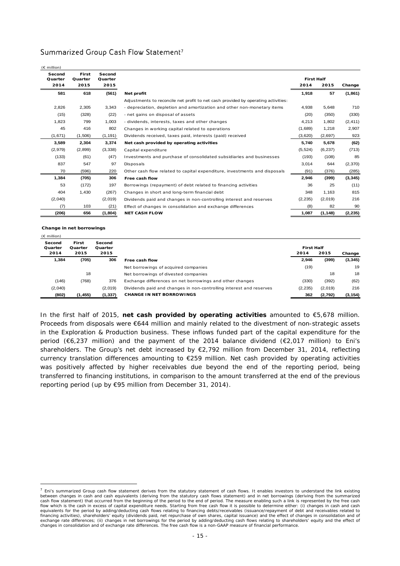### Summarized Group Cash Flow Statement<sup>7</sup>

| $(E \text{ million})$ |                  |                   |                                                                                   |                   |          |          |
|-----------------------|------------------|-------------------|-----------------------------------------------------------------------------------|-------------------|----------|----------|
| Second<br>Quarter     | First<br>Quarter | Second<br>Quarter |                                                                                   | <b>First Half</b> |          |          |
| 2014                  | 2015             | 2015              |                                                                                   | 2014              | 2015     | Change   |
| 581                   | 618              | (561)             | Net profit                                                                        | 1,918             | 57       | (1,861)  |
|                       |                  |                   | Adjustments to reconcile net profit to net cash provided by operating activities: |                   |          |          |
| 2,826                 | 2,305            | 3,343             | - depreciation, depletion and amortization and other non-monetary items           | 4.938             | 5,648    | 710      |
| (15)                  | (328)            | (22)              | - net gains on disposal of assets                                                 | (20)              | (350)    | (330)    |
| 1,823                 | 799              | 1,003             | - dividends, interests, taxes and other changes                                   | 4,213             | 1,802    | (2, 411) |
| 45                    | 416              | 802               | Changes in working capital related to operations                                  | (1,689)           | 1,218    | 2,907    |
| (1,671)               | (1,506)          | (1, 191)          | Dividends received, taxes paid, interests (paid) received                         | (3,620)           | (2,697)  | 923      |
| 3,589                 | 2,304            | 3,374             | Net cash provided by operating activities                                         | 5,740             | 5,678    | (62)     |
| (2,979)               | (2,899)          | (3,338)           | Capital expenditure                                                               | (5, 524)          | (6, 237) | (713)    |
| (133)                 | (61)             | (47)              | Investments and purchase of consolidated subsidiaries and businesses              | (193)             | (108)    | 85       |
| 837                   | 547              | 97                | Disposals                                                                         | 3.014             | 644      | (2,370)  |
| 70                    | (596)            | 220               | Other cash flow related to capital expenditure, investments and disposals         | (91)              | (376)    | (285)    |
| 1,384                 | (705)            | 306               | Free cash flow                                                                    | 2,946             | (399)    | (3, 345) |
| 53                    | (172)            | 197               | Borrowings (repayment) of debt related to financing activities                    | 36                | 25       | (11)     |
| 404                   | 1,430            | (267)             | Changes in short and long-term financial debt                                     | 348               | 1,163    | 815      |
| (2,040)               |                  | (2,019)           | Dividends paid and changes in non-controlling interest and reserves               | (2, 235)          | (2,019)  | 216      |
| (7)                   | 103              | (21)              | Effect of changes in consolidation and exchange differences                       | (8)               | 82       | 90       |
| (206)                 | 656              | (1, 804)          | <b>NET CASH FLOW</b>                                                              | 1,087             | (1, 148) | (2, 235) |
|                       |                  |                   |                                                                                   |                   |          |          |

**Change in net borrowings**

 $\overline{a}$ 

| $(E \text{ million})$     |                          |                           |                                                                     |                           |         |          |
|---------------------------|--------------------------|---------------------------|---------------------------------------------------------------------|---------------------------|---------|----------|
| Second<br>Quarter<br>2014 | First<br>Quarter<br>2015 | Second<br>Quarter<br>2015 |                                                                     | <b>First Half</b><br>2014 | 2015    | Change   |
|                           |                          |                           |                                                                     |                           |         |          |
| 1,384                     | (705)                    | 306                       | Free cash flow                                                      | 2,946                     | (399)   | (3, 345) |
|                           |                          |                           | Net borrowings of acquired companies                                | (19)                      |         | 19       |
|                           | 18                       |                           | Net borrowings of divested companies                                |                           | 18      | 18       |
| (146)                     | (768)                    | 376                       | Exchange differences on net borrowings and other changes            | (330)                     | (392)   | (62)     |
| (2,040)                   |                          | (2,019)                   | Dividends paid and changes in non-controlling interest and reserves | (2, 235)                  | (2,019) | 216      |
| (802)                     | (1, 455)                 | (1, 337)                  | <b>CHANGE IN NET BORROWINGS</b>                                     | 362                       | (2,792) | (3, 154) |

In the first half of 2015, **net cash provided by operating activities** amounted to €5,678 million. Proceeds from disposals were €644 million and mainly related to the divestment of non-strategic assets in the Exploration & Production business. These inflows funded part of the capital expenditure for the period (€6,237 million) and the payment of the 2014 balance dividend (€2,017 million) to Eni's shareholders. The Group's net debt increased by €2,792 million from December 31, 2014, reflecting currency translation differences amounting to €259 million. Net cash provided by operating activities was positively affected by higher receivables due beyond the end of the reporting period, being transferred to financing institutions, in comparison to the amount transferred at the end of the previous reporting period (up by €95 million from December 31, 2014).

 $<sup>7</sup>$  Eni's summarized Group cash flow statement derives from the statutory statement of cash flows. It enables investors to understand the link existing</sup> between changes in cash and cash equivalents (deriving from the statutory cash flows statement) and in net borrowings (deriving from the summarized cash flow statement) that occurred from the beginning of the period to the end of period. The measure enabling such a link is represented by the free cash flow which is the cash in excess of capital expenditure needs. Starting from free cash flow it is possible to determine either: (i) changes in cash and cash equivalents for the period by adding/deducting cash flows relating to financing debts/receivables (issuance/repayment of debt and receivables related to financing activities), shareholders' equity (dividends paid, net repurchase of own shares, capital issuance) and the effect of changes in consolidation and of exchange rate differences; (ii) changes in net borrowings for the period by adding/deducting cash flows relating to shareholders' equity and the effect of changes in consolidation and of exchange rate differences. The free cash flow is a non-GAAP measure of financial performance.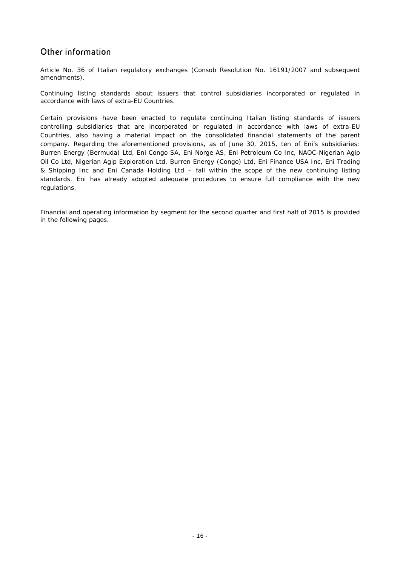# Other information

*Article No. 36 of Italian regulatory exchanges (Consob Resolution No. 16191/2007 and subsequent amendments).* 

*Continuing listing standards about issuers that control subsidiaries incorporated or regulated in accordance with laws of extra-EU Countries.* 

Certain provisions have been enacted to regulate continuing Italian listing standards of issuers controlling subsidiaries that are incorporated or regulated in accordance with laws of extra-EU Countries, also having a material impact on the consolidated financial statements of the parent company. Regarding the aforementioned provisions, as of June 30, 2015, ten of Eni's subsidiaries: Burren Energy (Bermuda) Ltd, Eni Congo SA, Eni Norge AS, Eni Petroleum Co Inc, NAOC-Nigerian Agip Oil Co Ltd, Nigerian Agip Exploration Ltd, Burren Energy (Congo) Ltd, Eni Finance USA Inc, Eni Trading & Shipping Inc and Eni Canada Holding Ltd – fall within the scope of the new continuing listing standards. Eni has already adopted adequate procedures to ensure full compliance with the new regulations.

*Financial and operating information by segment for the second quarter and first half of 2015 is provided in the following pages.*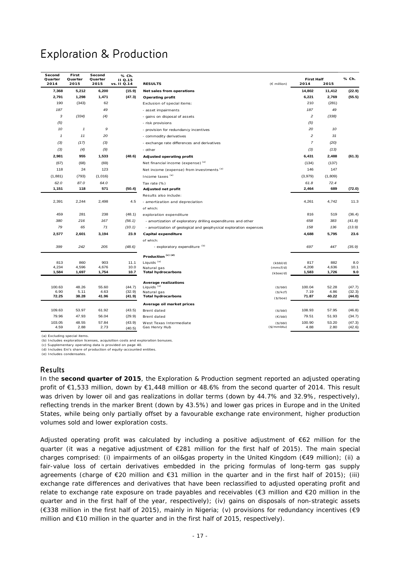# Exploration & Production

| Second<br>Quarter<br>2014 | First<br>Quarter<br>2015 | Second<br>Quarter<br>2015 | % Ch.<br>II Q.15<br>vs. II Q.14 | <b>RESULTS</b>                                                    | (€ million) | <b>First Half</b><br>2014 | 2015          | % Ch.            |
|---------------------------|--------------------------|---------------------------|---------------------------------|-------------------------------------------------------------------|-------------|---------------------------|---------------|------------------|
| 7,368                     | 5,212                    | 6,200                     | (15.9)                          | Net sales from operations                                         |             | 14,802                    | 11,412        | (22.9)           |
| 2,791                     | 1,298                    | 1,471                     | (47.3)                          | <b>Operating profit</b>                                           |             | 6,221                     | 2,769         | (55.5)           |
| 190                       | (343)                    | 62                        |                                 | Exclusion of special items:                                       |             | 210                       | (281)         |                  |
| 187                       |                          | 49                        |                                 | - asset impairments                                               |             | 187                       | 49            |                  |
| $\sqrt{3}$                | (334)                    | (4)                       |                                 | - gains on disposal of assets                                     |             | $\overline{c}$            | (338)         |                  |
| (5)                       |                          |                           |                                 | - risk provisions                                                 |             | (5)                       |               |                  |
| 10                        | $\mathbf{1}$             | 9                         |                                 | - provision for redundancy incentives                             |             | 20                        | 10            |                  |
| $\mathbf{1}$              | 11                       | 20                        |                                 | - commodity derivatives                                           |             | $\overline{c}$            | 31            |                  |
| (3)                       | (17)                     | (3)                       |                                 | - exchange rate differences and derivatives                       |             | $\overline{7}$            | (20)          |                  |
| (3)                       | (4)                      | (9)                       |                                 | - other                                                           |             | (3)                       | (13)          |                  |
| 2,981                     | 955                      | 1,533                     | (48.6)                          | Adjusted operating profit                                         |             | 6,431                     | 2,488         | (61.3)           |
| (67)                      | (68)                     | (69)                      |                                 | Net financial income (expense) (a)                                |             | (134)                     | (137)         |                  |
| 118                       | 24                       | 123                       |                                 | Net income (expense) from investments (a)                         |             | 146                       | 147           |                  |
| (1, 881)                  | (793)                    | (1,016)                   |                                 | Income taxes (a)                                                  |             | (3,979)                   | (1,809)       |                  |
| 62.0                      | 87.0                     | 64.0                      |                                 | Tax rate (%)                                                      |             | 61.8                      | 72.4          |                  |
| 1,151                     | 118                      | 571                       | (50.4)                          | Adjusted net profit                                               |             | 2,464                     | 689           | (72.0)           |
|                           |                          |                           |                                 | Results also include:                                             |             |                           |               |                  |
| 2,391                     | 2,244                    | 2,498                     | 4.5                             | - amortization and depreciation                                   |             | 4,261                     | 4,742         | 11.3             |
|                           |                          |                           |                                 | of which:                                                         |             |                           |               |                  |
| 459                       | 281                      | 238                       | (48.1)                          | exploration expenditure                                           |             | 816                       | 519           | (36.4)           |
| 380                       | 216                      | 167                       | (56.1)                          | - amortization of exploratory drilling expenditures and other     |             | 658                       | 383           | (41.8)           |
| 79                        | 65                       | 71                        | (10.1)                          | - amortization of geological and geophysical exploration expenses |             | 158                       | 136           | (13.9)           |
| 2,577                     | 2,601                    | 3,194                     | 23.9                            | Capital expenditure                                               |             | 4,688                     | 5,795         | 23.6             |
|                           |                          |                           |                                 | of which:                                                         |             |                           |               |                  |
| 399                       | 242                      | 205                       | (48.6)                          | - exploratory expenditure (b)                                     |             | 697                       | 447           | (35.9)           |
|                           |                          |                           |                                 | Production <sup>(c)(d)</sup>                                      |             |                           |               |                  |
| 813                       | 860                      | 903                       | 11.1                            | Liquids <sup>(e)</sup>                                            | (kbbl/d)    | 817                       | 882           | 8.0              |
| 4,234                     | 4,596                    | 4,676                     | 10.0                            | Natural gas                                                       | (mmcf/d)    | 4,208                     | 4,636         | 10.1             |
| 1,584                     | 1,697                    | 1,754                     | 10.7                            | <b>Total hydrocarbons</b>                                         | (kboe/d)    | 1,583                     | 1,726         | 9.0              |
|                           |                          |                           |                                 | <b>Average realizations</b>                                       |             |                           |               |                  |
| 100.63                    | 48.26                    | 55.60                     | (44.7)                          | Liquids <sup>(e)</sup>                                            | (S/bbl)     | 100.04                    | 52.28         | (47.7)           |
| 6.90<br>72.25             | 5.11<br>38.28            | 4.63<br>41.96             | (32.9)<br>(41.9)                | Natural gas<br><b>Total hydrocarbons</b>                          | (\$/kcf)    | 7.19<br>71.87             | 4.86<br>40.22 | (32.3)<br>(44.0) |
|                           |                          |                           |                                 |                                                                   | (\$/boe)    |                           |               |                  |
| 109.63                    | 53.97                    | 61.92                     | (43.5)                          | Average oil market prices<br>Brent dated                          | (S/bbl)     | 108.93                    | 57.95         | (46.8)           |
| 79.96                     | 47.93                    | 56.04                     | (29.9)                          | Brent dated                                                       | (E/bbl)     | 79.51                     | 51.93         | (34.7)           |
| 103.05                    | 48.55                    | 57.84                     | (43.9)                          | West Texas Intermediate                                           | (\$/bbl)    | 100.90                    | 53.20         | (47.3)           |
| 4.59                      | 2.88                     | 2.73                      | (40.5)                          | Gas Henry Hub                                                     | (\$/mmbtu)  | 4.88                      | 2.80          | (42.6)           |

(a) Excluding special items.

(b) Includes exploration licenses, acquisition costs and exploration bonuses.

(c) Supplementary operating data is provided on page 40. (d) Includes Eni's share of production of equity-accounted entities.

(e) Includes condensates.

### Results

In the **second quarter of 2015**, the Exploration & Production segment reported an adjusted operating profit of €1,533 million, down by €1,448 million or 48.6% from the second quarter of 2014. This result was driven by lower oil and gas realizations in dollar terms (down by 44.7% and 32.9%, respectively), reflecting trends in the marker Brent (down by 43.5%) and lower gas prices in Europe and in the United States, while being only partially offset by a favourable exchange rate environment, higher production volumes sold and lower exploration costs.

Adjusted operating profit was calculated by including a positive adjustment of €62 million for the quarter (it was a negative adjustment of €281 million for the first half of 2015). The main special charges comprised: (i) impairments of an oil&gas property in the United Kingdom (€49 million); (ii) a fair-value loss of certain derivatives embedded in the pricing formulas of long-term gas supply agreements (charge of €20 million and €31 million in the quarter and in the first half of 2015); (iii) exchange rate differences and derivatives that have been reclassified to adjusted operating profit and relate to exchange rate exposure on trade payables and receivables (€3 million and €20 million in the quarter and in the first half of the year, respectively); (iv) gains on disposals of non-strategic assets (€338 million in the first half of 2015), mainly in Nigeria; (v) provisions for redundancy incentives (€9 million and  $\epsilon$ 10 million in the quarter and in the first half of 2015, respectively).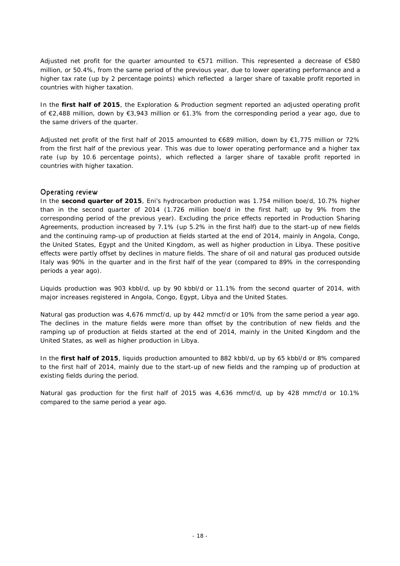Adjusted net profit for the quarter amounted to €571 million. This represented a decrease of €580 million, or 50.4%, from the same period of the previous year, due to lower operating performance and a higher tax rate (up by 2 percentage points) which reflected a larger share of taxable profit reported in countries with higher taxation.

In the **first half of 2015**, the Exploration & Production segment reported an adjusted operating profit of €2,488 million, down by €3,943 million or 61.3% from the corresponding period a year ago, due to the same drivers of the quarter.

Adjusted net profit of the first half of 2015 amounted to €689 million, down by €1,775 million or 72% from the first half of the previous year. This was due to lower operating performance and a higher tax rate (up by 10.6 percentage points), which reflected a larger share of taxable profit reported in countries with higher taxation.

### Operating review

In the **second quarter of 2015**, Eni's hydrocarbon production was 1.754 million boe/d, 10.7% higher than in the second quarter of 2014 (1.726 million boe/d in the first half; up by 9% from the corresponding period of the previous year). Excluding the price effects reported in Production Sharing Agreements, production increased by 7.1% (up 5.2% in the first half) due to the start-up of new fields and the continuing ramp-up of production at fields started at the end of 2014, mainly in Angola, Congo, the United States, Egypt and the United Kingdom, as well as higher production in Libya. These positive effects were partly offset by declines in mature fields. The share of oil and natural gas produced outside Italy was 90% in the quarter and in the first half of the year (compared to 89% in the corresponding periods a year ago).

Liquids production was 903 kbbl/d, up by 90 kbbl/d or 11.1% from the second quarter of 2014, with major increases registered in Angola, Congo, Egypt, Libya and the United States.

Natural gas production was 4,676 mmcf/d, up by 442 mmcf/d or 10% from the same period a year ago. The declines in the mature fields were more than offset by the contribution of new fields and the ramping up of production at fields started at the end of 2014, mainly in the United Kingdom and the United States, as well as higher production in Libya.

In the **first half of 2015**, liquids production amounted to 882 kbbl/d, up by 65 kbbl/d or 8% compared to the first half of 2014, mainly due to the start-up of new fields and the ramping up of production at existing fields during the period.

Natural gas production for the first half of 2015 was 4,636 mmcf/d, up by 428 mmcf/d or 10.1% compared to the same period a year ago.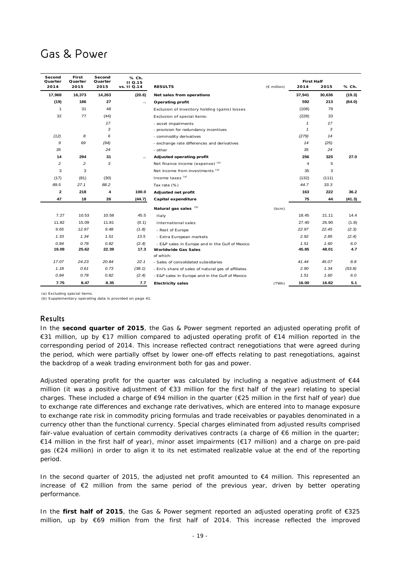# Gas & Power

| Second<br>Quarter | First<br>Quarter | Second<br>Quarter | % Ch.<br>II Q.15 |                                                     |               | <b>First Half</b> |        |        |
|-------------------|------------------|-------------------|------------------|-----------------------------------------------------|---------------|-------------------|--------|--------|
| 2014              | 2015             | 2015              | vs. II Q.14      | <b>RESULTS</b>                                      | $(E$ million) | 2014              | 2015   | % Ch.  |
| 17,968            | 16,373           | 14,263            | (20.6)           | Net sales from operations                           |               | 37,941            | 30,636 | (19.3) |
| (19)              | 186              | 27                | ٠.               | Operating profit                                    |               | 592               | 213    | (64.0) |
| $\mathbf{1}$      | 31               | 48                |                  | Exclusion of inventory holding (gains) losses       |               | (108)             | 79     |        |
| 32                | 77               | (44)              |                  | Exclusion of special items:                         |               | (228)             | 33     |        |
|                   |                  | 17                |                  | - asset impairments                                 |               | $\mathbf{1}$      | 17     |        |
|                   |                  | 3                 |                  | - provision for redundancy incentives               |               | $\mathbf{1}$      | 3      |        |
| (12)              | 8                | 6                 |                  | - commodity derivatives                             |               | (279)             | 14     |        |
| 9                 | 69               | (94)              |                  | - exchange rate differences and derivatives         |               | 14                | (25)   |        |
| 35                |                  | 24                |                  | - other                                             |               | 35                | 24     |        |
| 14                | 294              | 31                | ۰.               | Adjusted operating profit                           |               | 256               | 325    | 27.0   |
| 2                 | 2                | 3                 |                  | Net finance income (expense) (a)                    |               | $\overline{4}$    | 5      |        |
| 3                 | 3                |                   |                  | Net income from investments (a)                     |               | 35                | 3      |        |
| (17)              | (81)             | (30)              |                  | Income taxes <sup>(a)</sup>                         |               | (132)             | (111)  |        |
| 89.5              | 27.1             | 88.2              |                  | Tax rate (%)                                        |               | 44.7              | 33.3   |        |
| $\mathbf{2}$      | 218              | 4                 | 100.0            | Adjusted net profit                                 |               | 163               | 222    | 36.2   |
| 47                | 18               | 26                | (44.7)           | Capital expenditure                                 |               | 75                | 44     | (41.3) |
|                   |                  |                   |                  | Natural gas sales (b)                               | (bcm)         |                   |        |        |
| 7.27              | 10.53            | 10.58             | 45.5             | Italy                                               |               | 18.45             | 21.11  | 14.4   |
| 11.82             | 15.09            | 11.81             | (0.1)            | International sales                                 |               | 27.40             | 26.90  | (1.8)  |
| 9.65              | 12.97            | 9.48              | (1.8)            | - Rest of Europe                                    |               | 22.97             | 22.45  | (2.3)  |
| 1,33              | 1.34             | 1.51              | 13.5             | - Extra European markets                            |               | 2.92              | 2.85   | (2.4)  |
| 0.84              | 0.78             | 0.82              | (2.4)            | - E&P sales in Europe and in the Gulf of Mexico     |               | 1.51              | 1.60   | 6.0    |
| 19.09             | 25.62            | 22.39             | 17.3             | <b>Worldwide Gas Sales</b>                          |               | 45.85             | 48.01  | 4.7    |
|                   |                  |                   |                  | of which:                                           |               |                   |        |        |
| 17.07             | 24.23            | 20.84             | 22.1             | - Sales of consolidated subsidiaries                |               | 41.44             | 45.07  | 8.8    |
| 1.18              | 0.61             | 0.73              | (38.1)           | - Eni's share of sales of natural gas of affiliates |               | 2.90              | 1.34   | (53.8) |
| 0.84              | 0.78             | 0.82              | (2.4)            | - E&P sales in Europe and in the Gulf of Mexico     |               | 1.51              | 1.60   | 6.0    |
| 7.75              | 8.47             | 8.35              | 7.7              | <b>Electricity sales</b>                            | (TWh)         | 16.00             | 16.82  | 5.1    |

(a) Excluding special items.

(b) Supplementary operating data is provided on page 41.

### Results

In the **second quarter of 2015**, the Gas & Power segment reported an adjusted operating profit of €31 million, up by €17 million compared to adjusted operating profit of €14 million reported in the corresponding period of 2014. This increase reflected contract renegotiations that were agreed during the period, which were partially offset by lower one-off effects relating to past renegotiations, against the backdrop of a weak trading environment both for gas and power.

Adjusted operating profit for the quarter was calculated by including a negative adjustment of  $\epsilon$ 44 million (it was a positive adjustment of €33 million for the first half of the year) relating to special charges. These included a charge of €94 million in the quarter (€25 million in the first half of year) due to exchange rate differences and exchange rate derivatives, which are entered into to manage exposure to exchange rate risk in commodity pricing formulas and trade receivables or payables denominated in a currency other than the functional currency. Special charges eliminated from adjusted results comprised fair-value evaluation of certain commodity derivatives contracts (a charge of  $\epsilon$ 6 million in the quarter; €14 million in the first half of year), minor asset impairments (€17 million) and a charge on pre-paid gas (€24 million) in order to align it to its net estimated realizable value at the end of the reporting period.

In the second quarter of 2015, the adjusted net profit amounted to  $\epsilon$ 4 million. This represented an increase of €2 million from the same period of the previous year, driven by better operating performance.

In the **first half of 2015**, the Gas & Power segment reported an adjusted operating profit of €325 million, up by €69 million from the first half of 2014. This increase reflected the improved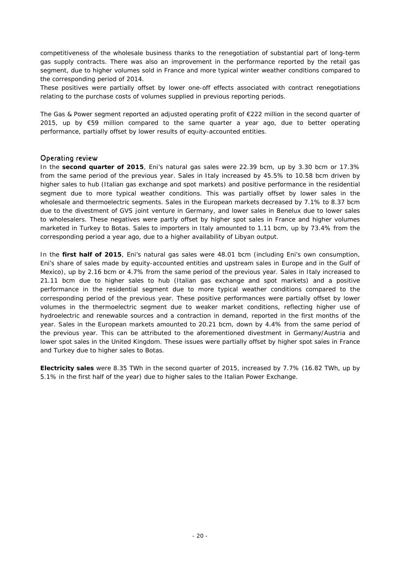competitiveness of the wholesale business thanks to the renegotiation of substantial part of long-term gas supply contracts. There was also an improvement in the performance reported by the retail gas segment, due to higher volumes sold in France and more typical winter weather conditions compared to the corresponding period of 2014.

These positives were partially offset by lower one-off effects associated with contract renegotiations relating to the purchase costs of volumes supplied in previous reporting periods.

The Gas & Power segment reported an adjusted operating profit of €222 million in the second quarter of 2015, up by  $\epsilon$ 59 million compared to the same quarter a year ago, due to better operating performance, partially offset by lower results of equity-accounted entities.

### Operating review

In the **second quarter of 2015**, Eni's natural gas sales were 22.39 bcm, up by 3.30 bcm or 17.3% from the same period of the previous year. Sales in Italy increased by 45.5% to 10.58 bcm driven by higher sales to hub (Italian gas exchange and spot markets) and positive performance in the residential segment due to more typical weather conditions. This was partially offset by lower sales in the wholesale and thermoelectric segments. Sales in the European markets decreased by 7.1% to 8.37 bcm due to the divestment of GVS joint venture in Germany, and lower sales in Benelux due to lower sales to wholesalers. These negatives were partly offset by higher spot sales in France and higher volumes marketed in Turkey to Botas. Sales to importers in Italy amounted to 1.11 bcm, up by 73.4% from the corresponding period a year ago, due to a higher availability of Libyan output.

In the **first half of 2015**, Eni's natural gas sales were 48.01 bcm (including Eni's own consumption, Eni's share of sales made by equity-accounted entities and upstream sales in Europe and in the Gulf of Mexico), up by 2.16 bcm or 4.7% from the same period of the previous year. Sales in Italy increased to 21.11 bcm due to higher sales to hub (Italian gas exchange and spot markets) and a positive performance in the residential segment due to more typical weather conditions compared to the corresponding period of the previous year. These positive performances were partially offset by lower volumes in the thermoelectric segment due to weaker market conditions, reflecting higher use of hydroelectric and renewable sources and a contraction in demand, reported in the first months of the year. Sales in the European markets amounted to 20.21 bcm, down by 4.4% from the same period of the previous year. This can be attributed to the aforementioned divestment in Germany/Austria and lower spot sales in the United Kingdom. These issues were partially offset by higher spot sales in France and Turkey due to higher sales to Botas.

**Electricity sales** were 8.35 TWh in the second quarter of 2015, increased by 7.7% (16.82 TWh, up by 5.1% in the first half of the year) due to higher sales to the Italian Power Exchange.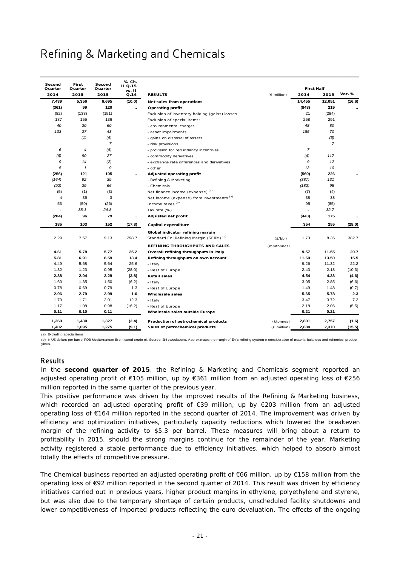# Refining & Marketing and Chemicals

| Second<br>Quarter | First<br>Quarter           | Second<br>Quarter | % Ch.<br>II Q.15<br>vs. II |                                                    |                       | <b>First Half</b> |                |        |
|-------------------|----------------------------|-------------------|----------------------------|----------------------------------------------------|-----------------------|-------------------|----------------|--------|
| 2014              | 2015                       | 2015              | Q.14                       | <b>RESULTS</b>                                     | $(E \text{ million})$ | 2014              | 2015           | Var. % |
| 7,439             | 5,356                      | 6,695             | (10.0)                     | Net sales from operations                          |                       | 14,455            | 12,051         | (16.6) |
| (361)             | 99                         | 120               |                            | Operating profit                                   |                       | (848)             | 219            |        |
| (82)              | (133)                      | (151)             |                            | Exclusion of inventory holding (gains) losses      |                       | 21                | (284)          |        |
| 187               | 155                        | 136               |                            | Exclusion of special items:                        |                       | 258               | 291            |        |
| 40                | 20                         | 60                |                            | - environmental charges                            |                       | 48                | 80             |        |
| 133               | 27                         | 43                |                            | - asset impairments                                |                       | 185               | 70             |        |
|                   | (1)                        | (4)               |                            | - gains on disposal of assets                      |                       |                   | (5)            |        |
|                   |                            | $\overline{7}$    |                            | - risk provisions                                  |                       |                   | $\overline{7}$ |        |
| 6                 | 4                          | (4)               |                            | - provision for redundancy incentives              |                       | $\overline{7}$    |                |        |
| (6)               | 90                         | 27                |                            | - commodity derivatives                            |                       | (4)               | 117            |        |
| 9                 | 14                         | (2)               |                            | - exchange rate differences and derivatives        |                       | 9                 | 12             |        |
| 5                 | $\boldsymbol{\mathcal{I}}$ | 9                 |                            | - other                                            |                       | 13                | 10             |        |
| (256)             | 121                        | 105               |                            | Adjusted operating profit                          |                       | (569)             | 226            |        |
| (164)             | 92                         | 39                |                            | - Refining & Marketing                             |                       | (387)             | 131            |        |
| (92)              | 29                         | 66                |                            | - Chemicals                                        |                       | (182)             | 95             |        |
| (5)               | (1)                        | (3)               |                            | Net finance income (expense) (a)                   |                       | (7)               | (4)            |        |
| $\overline{4}$    | 35                         | 3                 |                            | Net income (expense) from investments (a)          |                       | 38                | 38             |        |
| 53                | (59)                       | (26)              |                            | Income taxes <sup>(a)</sup>                        |                       | 95                | (85)           |        |
| $\ldots$          | 38.1                       | 24.8              |                            | Tax rate (%)                                       |                       | $\ddotsc$         | 32.7           |        |
| (204)             | 96                         | 79                | $\ddotsc$                  | Adjusted net profit                                |                       | (443)             | 175            |        |
| 185               | 103                        | 152               | (17.8)                     | Capital expenditure                                |                       | 354               | 255            | (28.0) |
|                   |                            |                   |                            | Global indicator refining margin                   |                       |                   |                |        |
| 2.29              | 7.57                       | 9.13              | 298.7                      | Standard Eni Refining Margin (SERM) <sup>(b)</sup> | (S/bbl)               | 1.73              | 8.35           | 382.7  |
|                   |                            |                   |                            | REFINING THROUGHPUTS AND SALES                     | (mmtonnes)            |                   |                |        |
| 4.61              | 5.78                       | 5.77              | 25.2                       | Overall refining throughputs in Italy              |                       | 9.57              | 11.55          | 20.7   |
| 5.81              | 6.91                       | 6.59              | 13.4                       | Refining throughputs on own account                |                       | 11.69             | 13.50          | 15.5   |
| 4.49              | 5.68                       | 5.64              | 25.6                       | - Italy                                            |                       | 9.26              | 11.32          | 22.2   |
| 1.32              | 1.23                       | 0.95              | (28.0)                     | - Rest of Europe                                   |                       | 2.43              | 2.18           | (10.3) |
| 2.38              | 2.04                       | 2.29              | (3.8)                      | <b>Retail sales</b>                                |                       | 4.54              | 4.33           | (4.6)  |
| 1.60              | 1.35                       | 1.50              | (6.2)                      | - Italy                                            |                       | 3.05              | 2.85           | (6.6)  |
| 0.78              | 0.69                       | 0.79              | 1.3                        | - Rest of Europe                                   |                       | 1.49              | 1.48           | (0.7)  |
| 2.96              | 2.79                       | 2.99              | $1.0$                      | <b>Wholesale sales</b>                             |                       | 5.65              | 5.78           | 2.3    |
| 1.79              | 1.71                       | 2.01              | 12.3                       | - Italy                                            |                       | 3.47              | 3.72           | 7.2    |
| 1.17              | 1.08                       | 0.98              | (16.2)                     | - Rest of Europe                                   |                       | 2.18              | 2.06           | (5.5)  |
| 0.11              | 0.10                       | 0.11              |                            | Wholesale sales outside Europe                     |                       | 0.21              | 0.21           |        |
| 1,360             | 1,430                      | 1,327             | (2.4)                      | Production of petrochemical products               | (ktonnes)             | 2,801             | 2,757          | (1.6)  |
| 1,402             | 1,095                      | 1,275             | (9.1)                      | Sales of petrochemical products                    | $(E$ million)         | 2,804             | 2,370          | (15.5) |

(a) Excluding special item

(b) In US dollars per barrel FOB Mediterranean Brent dated crude oil. Source: Eni calculations. Approximates the margin of Eni's refining system in consideration of material balances and refineries' production yields.

### Results

In the **second quarter of 2015**, the Refining & Marketing and Chemicals segment reported an adjusted operating profit of €105 million, up by €361 million from an adjusted operating loss of €256 million reported in the same quarter of the previous year.

This positive performance was driven by the improved results of the Refining & Marketing business, which recorded an adjusted operating profit of €39 million, up by €203 million from an adjusted operating loss of €164 million reported in the second quarter of 2014. The improvement was driven by efficiency and optimization initiatives, particularly capacity reductions which lowered the breakeven margin of the refining activity to \$5.3 per barrel. These measures will bring about a return to profitability in 2015, should the strong margins continue for the remainder of the year. Marketing activity registered a stable performance due to efficiency initiatives, which helped to absorb almost totally the effects of competitive pressure.

The Chemical business reported an adjusted operating profit of €66 million, up by €158 million from the operating loss of €92 million reported in the second quarter of 2014. This result was driven by efficiency initiatives carried out in previous years, higher product margins in ethylene, polyethylene and styrene, but was also due to the temporary shortage of certain products, unscheduled facility shutdowns and lower competitiveness of imported products reflecting the euro devaluation. The effects of the ongoing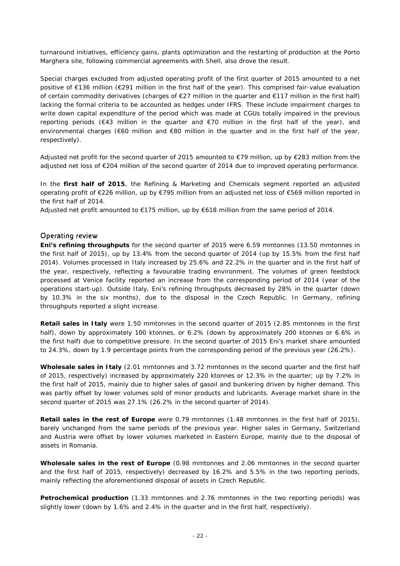turnaround initiatives, efficiency gains, plants optimization and the restarting of production at the Porto Marghera site, following commercial agreements with Shell, also drove the result.

Special charges excluded from adjusted operating profit of the first quarter of 2015 amounted to a net positive of €136 million (€291 million in the first half of the year). This comprised fair-value evaluation of certain commodity derivatives (charges of €27 million in the quarter and €117 million in the first half) lacking the formal criteria to be accounted as hedges under IFRS. These include impairment charges to write down capital expenditure of the period which was made at CGUs totally impaired in the previous reporting periods (€43 million in the quarter and €70 million in the first half of the year), and environmental charges (€60 million and €80 million in the quarter and in the first half of the year, respectively).

Adjusted net profit for the second quarter of 2015 amounted to €79 million, up by €283 million from the adjusted net loss of €204 million of the second quarter of 2014 due to improved operating performance.

In the **first half of 2015**, the Refining & Marketing and Chemicals segment reported an adjusted operating profit of €226 million, up by €795 million from an adjusted net loss of €569 million reported in the first half of 2014.

Adjusted net profit amounted to €175 million, up by €618 million from the same period of 2014.

### Operating review

**Eni's refining throughputs** for the second quarter of 2015 were 6.59 mmtonnes (13.50 mmtonnes in the first half of 2015), up by 13.4% from the second quarter of 2014 (up by 15.5% from the first half 2014). Volumes processed in Italy increased by 25.6% and 22.2% in the quarter and in the first half of the year, respectively, reflecting a favourable trading environment. The volumes of green feedstock processed at Venice facility reported an increase from the corresponding period of 2014 (year of the operations start-up). Outside Italy, Eni's refining throughputs decreased by 28% in the quarter (down by 10.3% in the six months), due to the disposal in the Czech Republic. In Germany, refining throughputs reported a slight increase.

**Retail sales in Italy** were 1.50 mmtonnes in the second quarter of 2015 (2.85 mmtonnes in the first half), down by approximately 100 ktonnes, or 6.2% (down by approximately 200 ktonnes or 6.6% in the first half) due to competitive pressure. In the second quarter of 2015 Eni's market share amounted to 24.3%, down by 1.9 percentage points from the corresponding period of the previous year (26.2%).

**Wholesale sales in Italy** (2.01 mmtonnes and 3.72 mmtonnes in the second quarter and the first half of 2015, respectively) increased by approximately 220 ktonnes or 12.3% in the quarter; up by 7.2% in the first half of 2015, mainly due to higher sales of gasoil and bunkering driven by higher demand. This was partly offset by lower volumes sold of minor products and lubricants. Average market share in the second quarter of 2015 was 27.1% (26.2% in the second quarter of 2014).

**Retail sales in the rest of Europe** were 0.79 mmtonnes (1.48 mmtonnes in the first half of 2015), barely unchanged from the same periods of the previous year. Higher sales in Germany, Switzerland and Austria were offset by lower volumes marketed in Eastern Europe, mainly due to the disposal of assets in Romania.

**Wholesale sales in the rest of Europe** (0.98 mmtonnes and 2.06 mmtonnes in the second quarter and the first half of 2015, respectively) decreased by 16.2% and 5.5% in the two reporting periods, mainly reflecting the aforementioned disposal of assets in Czech Republic.

**Petrochemical production** (1.33 mmtonnes and 2.76 mmtonnes in the two reporting periods) was slightly lower (down by 1.6% and 2.4% in the quarter and in the first half, respectively).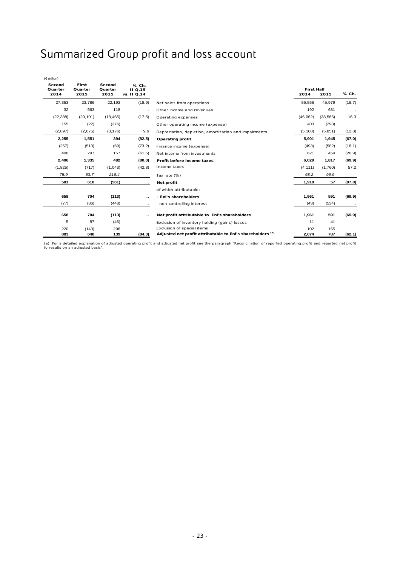# Summarized Group profit and loss account

| $(\in$ million)           |                          |                           |                                 |                                                            |                           |           |           |
|---------------------------|--------------------------|---------------------------|---------------------------------|------------------------------------------------------------|---------------------------|-----------|-----------|
| Second<br>Quarter<br>2014 | First<br>Quarter<br>2015 | Second<br>Quarter<br>2015 | % Ch.<br>II Q.15<br>vs. II Q.14 |                                                            | <b>First Half</b><br>2014 | 2015      | % Ch.     |
| 27,353                    | 23,786                   | 22,193                    | (18.9)                          | Net sales from operations                                  | 56,556                    | 45,979    | (18.7)    |
| 32                        | 563                      | 118                       | $\ddotsc$                       | Other income and revenues                                  | 192                       | 681       | $\ddotsc$ |
| (22, 388)                 | (20, 101)                | (18, 465)                 | (17.5)                          | Operating expenses                                         | (46,062)                  | (38, 566) | 16.3      |
| 155                       | (22)                     | (276)                     | $\ldots$                        | Other operating income (expense)                           | 403                       | (298)     | $\ddotsc$ |
| (2, 897)                  | (2,675)                  | (3, 176)                  | 9.6                             | Depreciation, depletion, amortization and impairments      | (5, 188)                  | (5, 851)  | (12.8)    |
| 2,255                     | 1,551                    | 394                       | (82.5)                          | Operating profit                                           | 5,901                     | 1,945     | (67.0)    |
| (257)                     | (513)                    | (69)                      | (73.2)                          | Finance income (expense)                                   | (493)                     | (582)     | (18.1)    |
| 408                       | 297                      | 157                       | (61.5)                          | Net income from investments                                | 621                       | 454       | (26.9)    |
| 2,406                     | 1,335                    | 482                       | (80.0)                          | Profit before income taxes                                 | 6,029                     | 1,817     | (69.9)    |
| (1, 825)                  | (717)                    | (1,043)                   | (42.8)                          | Income taxes                                               | (4, 111)                  | (1,760)   | 57.2      |
| 75.9                      | 53.7                     | 216.4                     |                                 | Tax rate (%)                                               | 68.2                      | 96.9      |           |
| 581                       | 618                      | (561)                     |                                 | Net profit                                                 | 1,918                     | 57        | (97.0)    |
|                           |                          |                           |                                 | of which attributable:                                     |                           |           |           |
| 658                       | 704                      | (113)                     | ٠.                              | - Eni's shareholders                                       | 1,961                     | 591       | (69.9)    |
| (77)                      | (86)                     | (448)                     | $\ddotsc$                       | - non-controlling interest                                 | (43)                      | (534)     | $\cdots$  |
| 658                       | 704                      | (113)                     |                                 | Net profit attributable to Eni's shareholders              | 1,961                     | 591       | (69.9)    |
| 5                         | 87                       | (46)                      |                                 | Exclusion of inventory holding (gains) losses              | 11                        | 41        |           |
| 220                       | (143)                    | 298                       |                                 | Exclusion of special items                                 | 102                       | 155       |           |
| 883                       | 648                      | 139                       | (84.3)                          | Adjusted net profit attributable to Eni's shareholders (a) | 2,074                     | 787       | (62.1)    |

(a) For a detailed explanation of adjusted operating profit and adjusted net profit see the paragraph "Reconciliation of reported operating profit and reported net profit to results on an adjusted basis".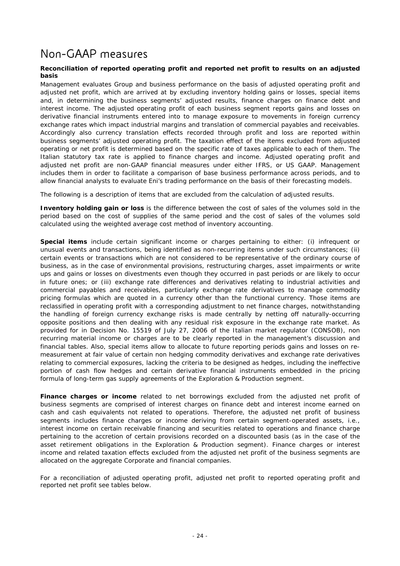# Non-GAAP measures

#### **Reconciliation of reported operating profit and reported net profit to results on an adjusted basis**

Management evaluates Group and business performance on the basis of adjusted operating profit and adjusted net profit, which are arrived at by excluding inventory holding gains or losses, special items and, in determining the business segments' adjusted results, finance charges on finance debt and interest income. The adjusted operating profit of each business segment reports gains and losses on derivative financial instruments entered into to manage exposure to movements in foreign currency exchange rates which impact industrial margins and translation of commercial payables and receivables. Accordingly also currency translation effects recorded through profit and loss are reported within business segments' adjusted operating profit. The taxation effect of the items excluded from adjusted operating or net profit is determined based on the specific rate of taxes applicable to each of them. The Italian statutory tax rate is applied to finance charges and income. Adjusted operating profit and adjusted net profit are non-GAAP financial measures under either IFRS, or US GAAP. Management includes them in order to facilitate a comparison of base business performance across periods, and to allow financial analysts to evaluate Eni's trading performance on the basis of their forecasting models.

The following is a description of items that are excluded from the calculation of adjusted results.

**Inventory holding gain or loss** is the difference between the cost of sales of the volumes sold in the period based on the cost of supplies of the same period and the cost of sales of the volumes sold calculated using the weighted average cost method of inventory accounting.

**Special items** include certain significant income or charges pertaining to either: (i) infrequent or unusual events and transactions, being identified as non-recurring items under such circumstances; (ii) certain events or transactions which are not considered to be representative of the ordinary course of business, as in the case of environmental provisions, restructuring charges, asset impairments or write ups and gains or losses on divestments even though they occurred in past periods or are likely to occur in future ones; or (iii) exchange rate differences and derivatives relating to industrial activities and commercial payables and receivables, particularly exchange rate derivatives to manage commodity pricing formulas which are quoted in a currency other than the functional currency. Those items are reclassified in operating profit with a corresponding adjustment to net finance charges, notwithstanding the handling of foreign currency exchange risks is made centrally by netting off naturally-occurring opposite positions and then dealing with any residual risk exposure in the exchange rate market. As provided for in Decision No. 15519 of July 27, 2006 of the Italian market regulator (CONSOB), non recurring material income or charges are to be clearly reported in the management's discussion and financial tables. Also, special items allow to allocate to future reporting periods gains and losses on remeasurement at fair value of certain non hedging commodity derivatives and exchange rate derivatives relating to commercial exposures, lacking the criteria to be designed as hedges, including the ineffective portion of cash flow hedges and certain derivative financial instruments embedded in the pricing formula of long-term gas supply agreements of the Exploration & Production segment.

**Finance charges or income** related to net borrowings excluded from the adjusted net profit of business segments are comprised of interest charges on finance debt and interest income earned on cash and cash equivalents not related to operations. Therefore, the adjusted net profit of business segments includes finance charges or income deriving from certain segment-operated assets, i.e., interest income on certain receivable financing and securities related to operations and finance charge pertaining to the accretion of certain provisions recorded on a discounted basis (as in the case of the asset retirement obligations in the Exploration & Production segment). Finance charges or interest income and related taxation effects excluded from the adjusted net profit of the business segments are allocated on the aggregate Corporate and financial companies.

For a reconciliation of adjusted operating profit, adjusted net profit to reported operating profit and reported net profit see tables below.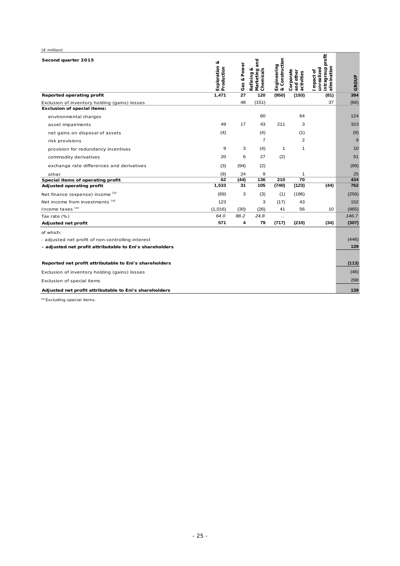| $(E$ million)                                            |                                |             |                                                   |                               |                                      |                                                             |       |
|----------------------------------------------------------|--------------------------------|-------------|---------------------------------------------------|-------------------------------|--------------------------------------|-------------------------------------------------------------|-------|
| Second quarter 2015                                      | ಷ<br>Exploration<br>Production | Gas & Power | and<br>ಂಠ<br>Marketing a<br>Chemicals<br>Refining | & Construction<br>Engineering | Corporate<br>and other<br>activities | intragroup profit<br>elimination<br>unrealized<br>Impact of | GROUP |
| Reported operating profit                                | 1,471                          | 27          | 120                                               | (950)                         | (193)                                | (81)                                                        | 394   |
| Exclusion of inventory holding (gains) losses            |                                | 48          | (151)                                             |                               |                                      | 37                                                          | (66)  |
| <b>Exclusion of special items:</b>                       |                                |             |                                                   |                               |                                      |                                                             |       |
| environmental charges                                    |                                |             | 60                                                |                               | 64                                   |                                                             | 124   |
| asset impairments                                        | 49                             | 17          | 43                                                | 211                           | 3                                    |                                                             | 323   |
| net gains on disposal of assets                          | (4)                            |             | (4)                                               |                               | (1)                                  |                                                             | (9)   |
| risk provisions                                          |                                |             | $\overline{7}$                                    |                               | 2                                    |                                                             | 9     |
| provision for redundancy incentives                      | 9                              | 3           | (4)                                               | $\mathbf{1}$                  | 1                                    |                                                             | 10    |
| commodity derivatives                                    | 20                             | 6           | 27                                                | (2)                           |                                      |                                                             | 51    |
| exchange rate differences and derivatives                | (3)                            | (94)        | (2)                                               |                               |                                      |                                                             | (99)  |
| other                                                    | (9)                            | 24          | 9                                                 |                               | 1                                    |                                                             | 25    |
| Special items of operating profit                        | 62                             | (44)        | 136                                               | 210                           | 70                                   |                                                             | 434   |
| Adjusted operating profit                                | 1,533                          | 31          | 105                                               | (740)                         | (123)                                | (44)                                                        | 762   |
| Net finance (expense) income (a)                         | (69)                           | 3           | (3)                                               | (1)                           | (186)                                |                                                             | (256) |
| Net income from investments (a)                          | 123                            |             | 3                                                 | (17)                          | 43                                   |                                                             | 152   |
| Income taxes (a)                                         | (1,016)                        | (30)        | (26)                                              | 41                            | 56                                   | 10                                                          | (965) |
| Tax rate (%)                                             | 64.0                           | 88.2        | 24.8                                              | $\cdot$                       |                                      |                                                             | 146.7 |
| Adjusted net profit                                      | 571                            | 4           | 79                                                | (717)                         | (210)                                | (34)                                                        | (307) |
| of which:                                                |                                |             |                                                   |                               |                                      |                                                             |       |
| - adjusted net profit of non-controlling interest        |                                |             |                                                   |                               |                                      |                                                             | (446) |
| - adjusted net profit attributable to Eni's shareholders |                                |             |                                                   |                               |                                      |                                                             | 139   |
|                                                          |                                |             |                                                   |                               |                                      |                                                             |       |
| Reported net profit attributable to Eni's shareholders   |                                |             |                                                   |                               |                                      |                                                             | (113) |
| Exclusion of inventory holding (gains) losses            |                                |             |                                                   |                               |                                      |                                                             | (46)  |
| Exclusion of special items                               |                                |             |                                                   |                               |                                      |                                                             | 298   |
| Adjusted net profit attributable to Eni's shareholders   |                                |             |                                                   |                               |                                      |                                                             | 139   |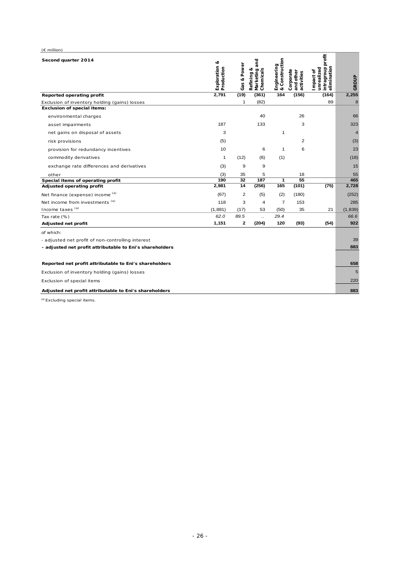| $(E$ million)                                            |                                  |              |                                             |                                  |                                      |                                                              |                |
|----------------------------------------------------------|----------------------------------|--------------|---------------------------------------------|----------------------------------|--------------------------------------|--------------------------------------------------------------|----------------|
| Second quarter 2014                                      | ಳ<br>Exploration &<br>Production | Gas & Power  | Marketing and<br>Chemicals<br>త<br>Refining | Construction<br>Engineering<br>൵ | Corporate<br>and other<br>activities | intragroup profit<br>elimination<br>unrealized<br>I mpact of | GROUP          |
| Reported operating profit                                | 2,791                            | (19)         | (361)                                       | 164                              | (156)                                | (164)                                                        | 2,255          |
| Exclusion of inventory holding (gains) losses            |                                  | $\mathbf{1}$ | (82)                                        |                                  |                                      | 89                                                           | 8              |
| <b>Exclusion of special items:</b>                       |                                  |              |                                             |                                  |                                      |                                                              |                |
| environmental charges                                    |                                  |              | 40                                          |                                  | 26                                   |                                                              | 66             |
| asset impairments                                        | 187                              |              | 133                                         |                                  | 3                                    |                                                              | 323            |
| net gains on disposal of assets                          | 3                                |              |                                             | 1                                |                                      |                                                              | $\overline{4}$ |
| risk provisions                                          | (5)                              |              |                                             |                                  | $\overline{2}$                       |                                                              | (3)            |
| provision for redundancy incentives                      | 10                               |              | 6                                           | $\mathbf{1}$                     | 6                                    |                                                              | 23             |
| commodity derivatives                                    | $\mathbf{1}$                     | (12)         | (6)                                         | (1)                              |                                      |                                                              | (18)           |
| exchange rate differences and derivatives                | (3)                              | 9            | 9                                           |                                  |                                      |                                                              | 15             |
| other                                                    | (3)                              | 35           | 5                                           |                                  | 18                                   |                                                              | 55             |
| Special items of operating profit                        | 190                              | 32           | 187                                         | 1                                | 55                                   |                                                              | 465            |
| Adjusted operating profit                                | 2,981                            | 14           | (256)                                       | 165                              | (101)                                | (75)                                                         | 2,728          |
| Net finance (expense) income (a)                         | (67)                             | 2            | (5)                                         | (2)                              | (180)                                |                                                              | (252)          |
| Net income from investments (a)                          | 118                              | 3            | $\overline{4}$                              | $\overline{7}$                   | 153                                  |                                                              | 285            |
| Income taxes (a)                                         | (1,881)                          | (17)         | 53                                          | (50)                             | 35                                   | 21                                                           | (1, 839)       |
| Tax rate (%)                                             | 62.0                             | 89.5         | Ω.                                          | 29.4                             |                                      |                                                              | 66.6           |
| Adjusted net profit                                      | 1,151                            | 2            | (204)                                       | 120                              | (93)                                 | (54)                                                         | 922            |
| of which:                                                |                                  |              |                                             |                                  |                                      |                                                              |                |
| - adjusted net profit of non-controlling interest        |                                  |              |                                             |                                  |                                      |                                                              | 39             |
| - adjusted net profit attributable to Eni's shareholders |                                  |              |                                             |                                  |                                      |                                                              | 883            |
|                                                          |                                  |              |                                             |                                  |                                      |                                                              |                |
| Reported net profit attributable to Eni's shareholders   |                                  |              |                                             |                                  |                                      |                                                              | 658            |
| Exclusion of inventory holding (gains) losses            |                                  |              |                                             |                                  |                                      |                                                              | 5              |
| Exclusion of special items                               |                                  |              |                                             |                                  |                                      |                                                              | 220            |
| Adjusted net profit attributable to Eni's shareholders   |                                  |              |                                             |                                  |                                      |                                                              | 883            |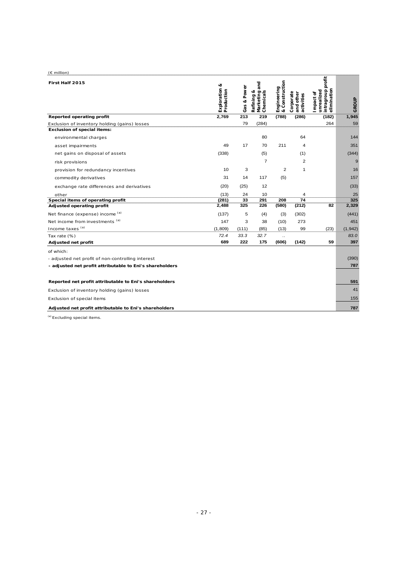| $(E \text{ million})$                                    |                                |             |                                                  |                               |                                      |                                                             |          |
|----------------------------------------------------------|--------------------------------|-------------|--------------------------------------------------|-------------------------------|--------------------------------------|-------------------------------------------------------------|----------|
| First Half 2015                                          | œ<br>Exploration<br>Production | Gas & Power | and<br>œ<br>Marketing a<br>Chemicals<br>Refining | Engineering<br>& Construction | Corporate<br>and other<br>activities | intragroup profit<br>elimination<br>unrealized<br>Impact of | GROUP    |
| Reported operating profit                                | 2,769                          | 213         | 219                                              | (788)                         | (286)                                | (182)                                                       | 1,945    |
| Exclusion of inventory holding (gains) losses            |                                | 79          | (284)                                            |                               |                                      | 264                                                         | 59       |
| <b>Exclusion of special items:</b>                       |                                |             |                                                  |                               |                                      |                                                             |          |
| environmental charges                                    |                                |             | 80                                               |                               | 64                                   |                                                             | 144      |
| asset impairments                                        | 49                             | 17          | 70                                               | 211                           | 4                                    |                                                             | 351      |
| net gains on disposal of assets                          | (338)                          |             | (5)                                              |                               | (1)                                  |                                                             | (344)    |
| risk provisions                                          |                                |             | $\overline{7}$                                   |                               | $\overline{2}$                       |                                                             | 9        |
| provision for redundancy incentives                      | 10                             | 3           |                                                  | 2                             | $\mathbf{1}$                         |                                                             | 16       |
| commodity derivatives                                    | 31                             | 14          | 117                                              | (5)                           |                                      |                                                             | 157      |
| exchange rate differences and derivatives                | (20)                           | (25)        | 12                                               |                               |                                      |                                                             | (33)     |
| other                                                    | (13)                           | 24          | 10                                               |                               | 4                                    |                                                             | 25       |
| Special items of operating profit                        | (281)                          | 33          | 291                                              | 208                           | 74                                   |                                                             | 325      |
| Adjusted operating profit                                | 2,488                          | 325         | 226                                              | (580)                         | (212)                                | 82                                                          | 2,329    |
| Net finance (expense) income (a)                         | (137)                          | 5           | (4)                                              | (3)                           | (302)                                |                                                             | (441)    |
| Net income from investments (a)                          | 147                            | 3           | 38                                               | (10)                          | 273                                  |                                                             | 451      |
| Income taxes (a)                                         | (1,809)                        | (111)       | (85)                                             | (13)                          | 99                                   | (23)                                                        | (1, 942) |
| Tax rate (%)                                             | 72.4                           | 33.3        | 32.7                                             | $\ddot{\phantom{a}}$          |                                      |                                                             | 83.0     |
| Adjusted net profit                                      | 689                            | 222         | 175                                              | (606)                         | (142)                                | 59                                                          | 397      |
| of which:                                                |                                |             |                                                  |                               |                                      |                                                             |          |
| - adjusted net profit of non-controlling interest        |                                |             |                                                  |                               |                                      |                                                             | (390)    |
| - adjusted net profit attributable to Eni's shareholders |                                |             |                                                  |                               |                                      |                                                             | 787      |
| Reported net profit attributable to Eni's shareholders   |                                |             |                                                  |                               |                                      |                                                             | 591      |
| Exclusion of inventory holding (gains) losses            |                                |             |                                                  |                               |                                      |                                                             | 41       |
| Exclusion of special items                               |                                |             |                                                  |                               |                                      |                                                             | 155      |
| Adjusted net profit attributable to Eni's shareholders   |                                |             |                                                  |                               |                                      |                                                             | 787      |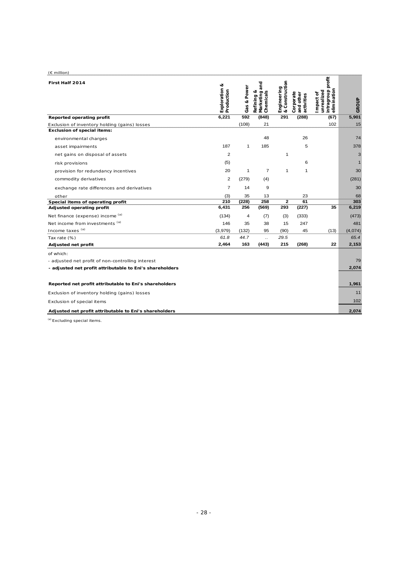| $(E \text{ million})$                                    |                                |                |                                                |                                   |                                      |                                                             |              |
|----------------------------------------------------------|--------------------------------|----------------|------------------------------------------------|-----------------------------------|--------------------------------------|-------------------------------------------------------------|--------------|
| First Half 2014                                          | త<br>Exploration<br>Production | Gas & Power    | and<br>ಷ<br>Marketing<br>Chemicals<br>Refining | Construction<br>Engineering<br>ංඊ | Corporate<br>and other<br>activities | intragroup profit<br>elimination<br>unrealized<br>Impact of | GROUP        |
| Reported operating profit                                | 6,221                          | 592            | (848)                                          | 291                               | (288)                                | (67)                                                        | 5,901        |
| Exclusion of inventory holding (gains) losses            |                                | (108)          | 21                                             |                                   |                                      | 102                                                         | 15           |
| <b>Exclusion of special items:</b>                       |                                |                |                                                |                                   |                                      |                                                             |              |
| environmental charges                                    |                                |                | 48                                             |                                   | 26                                   |                                                             | 74           |
| asset impairments                                        | 187                            | $\mathbf{1}$   | 185                                            |                                   | 5                                    |                                                             | 378          |
| net gains on disposal of assets                          | $\overline{2}$                 |                |                                                | 1                                 |                                      |                                                             | 3            |
| risk provisions                                          | (5)                            |                |                                                |                                   | 6                                    |                                                             | $\mathbf{1}$ |
| provision for redundancy incentives                      | 20                             | 1              | $\overline{7}$                                 | 1                                 | $\mathbf{1}$                         |                                                             | 30           |
| commodity derivatives                                    | $\overline{2}$                 | (279)          | (4)                                            |                                   |                                      |                                                             | (281)        |
| exchange rate differences and derivatives                | $\overline{7}$                 | 14             | 9                                              |                                   |                                      |                                                             | 30           |
| other                                                    | (3)                            | 35             | 13                                             |                                   | 23                                   |                                                             | 68           |
| Special items of operating profit                        | 210                            | (228)          | 258                                            | $\mathbf{z}$                      | 61                                   |                                                             | 303          |
| Adjusted operating profit                                | 6,431                          | 256            | (569)                                          | 293                               | (227)                                | 35                                                          | 6,219        |
| Net finance (expense) income (a)                         | (134)                          | $\overline{4}$ | (7)                                            | (3)                               | (333)                                |                                                             | (473)        |
| Net income from investments (a)                          | 146                            | 35             | 38                                             | 15                                | 247                                  |                                                             | 481          |
| Income taxes (a)                                         | (3,979)                        | (132)          | 95                                             | (90)                              | 45                                   | (13)                                                        | (4,074)      |
| Tax rate (%)                                             | 61.8                           | 44.7           | $\ddotsc$                                      | 29.5                              |                                      |                                                             | 65.4         |
| Adjusted net profit                                      | 2,464                          | 163            | (443)                                          | 215                               | (268)                                | 22                                                          | 2,153        |
| of which:                                                |                                |                |                                                |                                   |                                      |                                                             |              |
| - adjusted net profit of non-controlling interest        |                                |                |                                                |                                   |                                      |                                                             | 79           |
| - adjusted net profit attributable to Eni's shareholders |                                |                |                                                |                                   |                                      |                                                             | 2,074        |
|                                                          |                                |                |                                                |                                   |                                      |                                                             |              |
| Reported net profit attributable to Eni's shareholders   |                                |                |                                                |                                   |                                      |                                                             | 1,961        |
| Exclusion of inventory holding (gains) losses            |                                |                |                                                |                                   |                                      |                                                             | 11           |
| Exclusion of special items                               |                                |                |                                                |                                   |                                      |                                                             | 102          |
| Adjusted net profit attributable to Eni's shareholders   |                                |                |                                                |                                   |                                      |                                                             | 2,074        |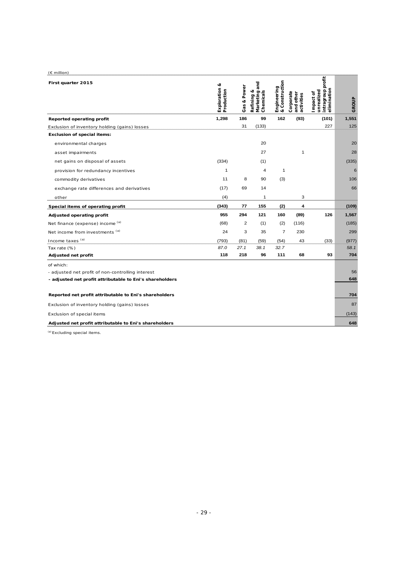| $(E \text{ million})$                                    |                                |             |                                               |                                              |                                      |                                                             |       |
|----------------------------------------------------------|--------------------------------|-------------|-----------------------------------------------|----------------------------------------------|--------------------------------------|-------------------------------------------------------------|-------|
| First quarter 2015                                       | త<br>Exploration<br>Production | Gas & Power | and<br>Refining &<br>Marketing a<br>Chemicals | Construction<br>Engineering<br>& Constructio | Corporate<br>and other<br>activities | intragroup profit<br>elimination<br>unrealized<br>Impact of | GROUP |
| Reported operating profit                                | 1,298                          | 186         | 99                                            | 162                                          | (93)                                 | (101)                                                       | 1,551 |
| Exclusion of inventory holding (gains) losses            |                                | 31          | (133)                                         |                                              |                                      | 227                                                         | 125   |
| <b>Exclusion of special items:</b>                       |                                |             |                                               |                                              |                                      |                                                             |       |
| environmental charges                                    |                                |             | 20                                            |                                              |                                      |                                                             | 20    |
| asset impairments                                        |                                |             | 27                                            |                                              | 1                                    |                                                             | 28    |
| net gains on disposal of assets                          | (334)                          |             | (1)                                           |                                              |                                      |                                                             | (335) |
| provision for redundancy incentives                      | 1                              |             | 4                                             | $\mathbf{1}$                                 |                                      |                                                             | 6     |
| commodity derivatives                                    | 11                             | 8           | 90                                            | (3)                                          |                                      |                                                             | 106   |
| exchange rate differences and derivatives                | (17)                           | 69          | 14                                            |                                              |                                      |                                                             | 66    |
| other                                                    | (4)                            |             | 1                                             |                                              | 3                                    |                                                             |       |
| Special items of operating profit                        | (343)                          | 77          | 155                                           | (2)                                          | 4                                    |                                                             | (109) |
| Adjusted operating profit                                | 955                            | 294         | 121                                           | 160                                          | (89)                                 | 126                                                         | 1,567 |
| Net finance (expense) income (a)                         | (68)                           | 2           | (1)                                           | (2)                                          | (116)                                |                                                             | (185) |
| Net income from investments (a)                          | 24                             | 3           | 35                                            | $\overline{7}$                               | 230                                  |                                                             | 299   |
| Income taxes (a)                                         | (793)                          | (81)        | (59)                                          | (54)                                         | 43                                   | (33)                                                        | (977) |
| Tax rate (%)                                             | 87.0                           | 27.1        | 38.1                                          | 32.7                                         |                                      |                                                             | 58.1  |
| Adjusted net profit                                      | 118                            | 218         | 96                                            | 111                                          | 68                                   | 93                                                          | 704   |
| of which:                                                |                                |             |                                               |                                              |                                      |                                                             |       |
| - adjusted net profit of non-controlling interest        |                                |             |                                               |                                              |                                      |                                                             | 56    |
| - adjusted net profit attributable to Eni's shareholders |                                |             |                                               |                                              |                                      |                                                             | 648   |
| Reported net profit attributable to Eni's shareholders   |                                |             |                                               |                                              |                                      |                                                             | 704   |
| Exclusion of inventory holding (gains) losses            |                                |             |                                               |                                              |                                      |                                                             | 87    |
| Exclusion of special items                               |                                |             |                                               |                                              |                                      |                                                             | (143) |
| Adjusted net profit attributable to Eni's shareholders   |                                |             |                                               |                                              |                                      |                                                             | 648   |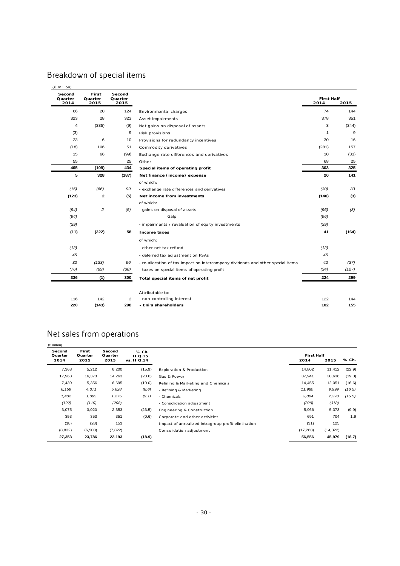# Breakdown of special items

| Second<br>Quarter<br>2014 | First<br>Quarter<br>2015 | Second<br>Quarter<br>2015 |                                                                                 | <b>First Half</b><br>2014 | 2015  |
|---------------------------|--------------------------|---------------------------|---------------------------------------------------------------------------------|---------------------------|-------|
| 66                        | 20                       | 124                       | Environmental charges                                                           | 74                        | 144   |
| 323                       | 28                       | 323                       | Asset impairments                                                               | 378                       | 351   |
| 4                         | (335)                    | (9)                       | Net gains on disposal of assets                                                 | 3                         | (344) |
| (3)                       |                          | 9                         | Risk provisions                                                                 | 1                         | 9     |
| 23                        | 6                        | 10                        | Provisions for redundancy incentives                                            | 30                        | 16    |
| (18)                      | 106                      | 51                        | Commodity derivatives                                                           | (281)                     | 157   |
| 15                        | 66                       | (99)                      | Exchange rate differences and derivatives                                       | 30                        | (33)  |
| 55                        |                          | 25                        | Other                                                                           | 68                        | 25    |
| 465                       | (109)                    | 434                       | Special items of operating profit                                               | 303                       | 325   |
| 5                         | 328                      | (187)                     | Net finance (income) expense                                                    | 20                        | 141   |
|                           |                          |                           | of which:                                                                       |                           |       |
| (15)                      | (66)                     | 99                        | - exchange rate differences and derivatives                                     | (30)                      | 33    |
| (123)                     | 2                        | (5)                       | Net income from investments                                                     | (140)                     | (3)   |
|                           |                          |                           | of which:                                                                       |                           |       |
| (94)                      | 2                        | (5)                       | - gains on disposal of assets                                                   | (96)                      | (3)   |
| (94)                      |                          |                           | Galp                                                                            | (96)                      |       |
| (29)                      |                          |                           | - impairments / revaluation of equity investments                               | (29)                      |       |
| (11)                      | (222)                    | 58                        | Income taxes                                                                    | 41                        | (164) |
|                           |                          |                           | of which:                                                                       |                           |       |
| (12)                      |                          |                           | - other net tax refund                                                          | (12)                      |       |
| 45                        |                          |                           | - deferred tax adjustment on PSAs                                               | 45                        |       |
| 32                        | (133)                    | 96                        | - re-allocation of tax impact on intercompany dividends and other special items | 42                        | (37)  |
| (76)                      | (89)                     | (38)                      | - taxes on special items of operating profit                                    | (34)                      | (127) |
| 336                       | (1)                      | 300                       | Total special items of net profit                                               | 224                       | 299   |
|                           |                          |                           | Attributable to:                                                                |                           |       |
| 116                       | 142                      | $\overline{2}$            | - non-controlling interest                                                      | 122                       | 144   |
| 220                       | (143)                    | 298                       | - Eni's shareholders                                                            | 102                       | 155   |

# Net sales from operations

| $(\in$ million)   |                  |                   |                         |                                                    |                   |           |        |
|-------------------|------------------|-------------------|-------------------------|----------------------------------------------------|-------------------|-----------|--------|
| Second<br>Quarter | First<br>Quarter | Second<br>Quarter | % Ch.<br><b>II Q.15</b> |                                                    | <b>First Half</b> |           |        |
| 2014              | 2015             | 2015              | vs. 11 Q.14             |                                                    | 2014              | 2015      | % Ch.  |
| 7,368             | 5,212            | 6,200             | (15.9)                  | <b>Exploration &amp; Production</b>                | 14,802            | 11,412    | (22.9) |
| 17,968            | 16,373           | 14,263            | (20.6)                  | Gas & Power                                        | 37,941            | 30,636    | (19.3) |
| 7,439             | 5,356            | 6,695             | (10.0)                  | Refining & Marketing and Chemicals                 | 14,455            | 12,051    | (16.6) |
| 6,159             | 4,371            | 5,628             | (8.6)                   | - Refining & Marketing                             | 11,980            | 9,999     | (16.5) |
| 1,402             | 1,095            | 1,275             | (9.1)                   | - Chemicals                                        | 2,804             | 2,370     | (15.5) |
| (122)             | (110)            | (208)             |                         | - Consolidation adjustment                         | (329)             | (318)     |        |
| 3,075             | 3,020            | 2,353             | (23.5)                  | Engineering & Construction                         | 5,966             | 5,373     | (9.9)  |
| 353               | 353              | 351               | (0.6)                   | Corporate and other activities                     | 691               | 704       | 1.9    |
| (18)              | (28)             | 153               |                         | Impact of unrealized intragroup profit elimination | (31)              | 125       |        |
| (8, 832)          | (6,500)          | (7, 822)          |                         | Consolidation adjustment                           | (17, 268)         | (14, 322) |        |
| 27,353            | 23,786           | 22,193            | (18.9)                  |                                                    | 56,556            | 45,979    | (18.7) |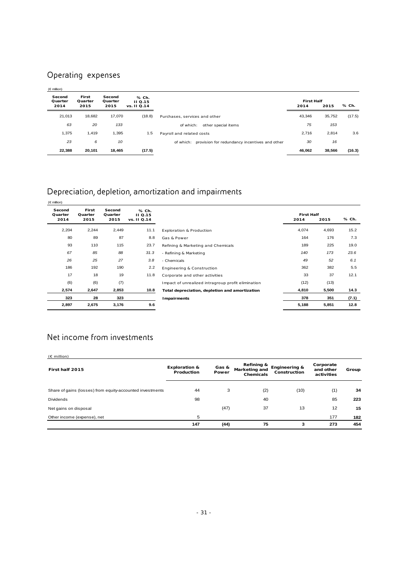# Operating expenses

| $(\in$ million)           |                          |                           |                                |                                                         |                           |        |        |
|---------------------------|--------------------------|---------------------------|--------------------------------|---------------------------------------------------------|---------------------------|--------|--------|
| Second<br>Quarter<br>2014 | First<br>Quarter<br>2015 | Second<br>Quarter<br>2015 | % Ch.<br>11Q.15<br>vs. II Q.14 |                                                         | <b>First Half</b><br>2014 | 2015   | % Ch.  |
| 21,013                    | 18,682                   | 17,070                    | (18.8)                         | Purchases, services and other                           | 43.346                    | 35,752 | (17.5) |
| 63                        | 20                       | 133                       |                                | of which:<br>other special items                        | 75                        | 153    |        |
| 1,375                     | 1,419                    | 1,395                     | 1.5                            | Payroll and related costs                               | 2,716                     | 2,814  | 3.6    |
| 23                        | 6                        | 10                        |                                | of which: provision for redundancy incentives and other | 30                        | 16     |        |
| 22.388                    | 20,101                   | 18,465                    | (17.5)                         |                                                         | 46,062                    | 38.566 | (16.3) |

# Depreciation, depletion, amortization and impairments

| $(\in$ million)   |                  |                   |                    |                                                    |                   |       |       |
|-------------------|------------------|-------------------|--------------------|----------------------------------------------------|-------------------|-------|-------|
| Second<br>Quarter | First<br>Quarter | Second<br>Quarter | % Ch.<br>$II$ Q.15 |                                                    | <b>First Half</b> |       | % Ch. |
| 2014              | 2015             | 2015              | vs. II Q.14        |                                                    | 2014              | 2015  |       |
| 2,204             | 2,244            | 2,449             | 11.1               | <b>Exploration &amp; Production</b>                | 4,074             | 4,693 | 15.2  |
| 80                | 89               | 87                | 8.8                | Gas & Power                                        | 164               | 176   | 7.3   |
| 93                | 110              | 115               | 23.7               | Refining & Marketing and Chemicals                 | 189               | 225   | 19.0  |
| 67                | 85               | 88                | 31.3               | - Refining & Marketing                             | 140               | 173   | 23.6  |
| 26                | 25               | 27                | 3.8                | - Chemicals                                        | 49                | 52    | 6.1   |
| 186               | 192              | 190               | 2.2                | Engineering & Construction                         | 362               | 382   | 5.5   |
| 17                | 18               | 19                | 11.8               | Corporate and other activities                     | 33                | 37    | 12.1  |
| (6)               | (6)              | (7)               |                    | Impact of unrealized intragroup profit elimination | (12)              | (13)  |       |
| 2,574             | 2,647            | 2,853             | 10.8               | Total depreciation, depletion and amortization     | 4,810             | 5,500 | 14.3  |
| 323               | 28               | 323               |                    | Impairments                                        | 378               | 351   | (7.1) |
| 2,897             | 2,675            | 3,176             | 9.6                |                                                    | 5,188             | 5,851 | 12.8  |

# Net income from investments

| First half 2015                                           | <b>Exploration &amp;</b><br>Production | Gas &<br>Power | Refining &<br><b>Marketing and</b><br>Chemicals | <b>Engineering &amp;</b><br>Construction | Corporate<br>and other<br>activities | Group |
|-----------------------------------------------------------|----------------------------------------|----------------|-------------------------------------------------|------------------------------------------|--------------------------------------|-------|
| Share of gains (losses) from equity-accounted investments | 44                                     | 3              | (2)                                             | (10)                                     | (1)                                  | 34    |
| <b>Dividends</b>                                          | 98                                     |                | 40                                              |                                          | 85                                   | 223   |
| Net gains on disposal                                     |                                        | (47)           | 37                                              | 13                                       | 12                                   | 15    |
| Other income (expense), net                               | 5                                      |                |                                                 |                                          | 177                                  | 182   |
|                                                           | 147                                    | (44)           | 75                                              | 3                                        | 273                                  | 454   |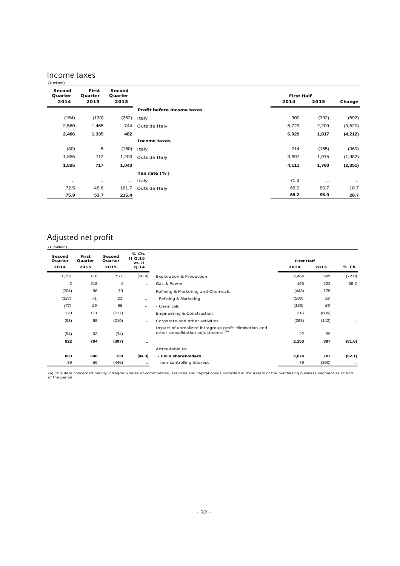### Income taxes

| $(\epsilon$ million)      |                          |                           |                            |                           |           |           |
|---------------------------|--------------------------|---------------------------|----------------------------|---------------------------|-----------|-----------|
| Second<br>Quarter<br>2014 | First<br>Quarter<br>2015 | Second<br>Quarter<br>2015 |                            | <b>First Half</b><br>2014 | 2015      | Change    |
|                           |                          |                           | Profit before income taxes |                           |           |           |
| (154)                     | (130)                    | (262)                     | Italy                      | 300                       | (392)     | (692)     |
| 2,560                     | 1,465                    | 744                       | Outside Italy              | 5,729                     | 2,209     | (3, 520)  |
| 2,406                     | 1,335                    | 482                       |                            | 6,029                     | 1,817     | (4,212)   |
|                           |                          |                           | Income taxes               |                           |           |           |
| (30)                      | 5                        | (160)                     | Italy                      | 214                       | (155)     | (369)     |
| 1,855                     | 712                      | 1,203                     | Outside Italy              | 3,897                     | 1,915     | (1,982)   |
| 1,825                     | 717                      | 1,043                     |                            | 4,111                     | 1,760     | (2, 351)  |
|                           |                          |                           | Tax rate (%)               |                           |           |           |
| $\cdot$ .                 | $\cdot$ .                | $\sim$                    | Italy                      | 71.3                      | $\cdot$ . | $\cdot$ . |
| 72.5                      | 48.6                     | 161.7                     | Outside Italy              | 68.0                      | 86.7      | 18.7      |
| 75.9                      | 53.7                     | 216.4                     |                            | 68.2                      | 96.9      | 28.7      |

### Adjusted net profit (€ million)

| Second<br>Quarter | First<br>Quarter | Second<br>Quarter | % Ch.<br>II Q.15<br>vs. II |                                                                                               | <b>First Half</b> |       |           |
|-------------------|------------------|-------------------|----------------------------|-----------------------------------------------------------------------------------------------|-------------------|-------|-----------|
| 2014              | 2015             | 2015              | Q.14                       |                                                                                               | 2014              | 2015  | % Ch.     |
| 1,151             | 118              | 571               | (50.4)                     | Exploration & Production                                                                      | 2,464             | 689   | (72.0)    |
| 2                 | 218              | 4                 | $\ddotsc$                  | Gas & Power                                                                                   | 163               | 222   | 36.2      |
| (204)             | 96               | 79                | $\ddotsc$                  | Refining & Marketing and Chemicals                                                            | (443)             | 175   | $\ldots$  |
| (127)             | 71               | 21                | $\ddotsc$                  | - Refining & Marketing                                                                        | (290)             | 92    |           |
| (77)              | 25               | 58                | $\cdot$ .                  | - Chemicals                                                                                   | (153)             | 83    |           |
| 120               | 111              | (717)             | $\ddotsc$                  | Engineering & Construction                                                                    | 215               | (606) | $\ddotsc$ |
| (93)              | 68               | (210)             | $\ddotsc$                  | Corporate and other activities                                                                | (268)             | (142) | $\cdots$  |
| (54)              | 93               | (34)              |                            | Impact of unrealized intragroup profit elimination and<br>other consolidation adjustments (a) | 22                | 59    |           |
| 922               | 704              | (307)             | $\sim$                     |                                                                                               | 2,153             | 397   | (81.6)    |
|                   |                  |                   |                            | Attributable to:                                                                              |                   |       |           |
| 883               | 648              | 139               | (84.3)                     | - Eni's shareholders                                                                          | 2,074             | 787   | (62.1)    |
| 39                | 56               | (446)             | $\cdots$                   | - non-controlling interest                                                                    | 79                | (390) | $\cdots$  |

(a) This item concerned mainly intragroup sales of commodities, services and capital goods recorded in the assets of the purchasing business segment as of end of the period.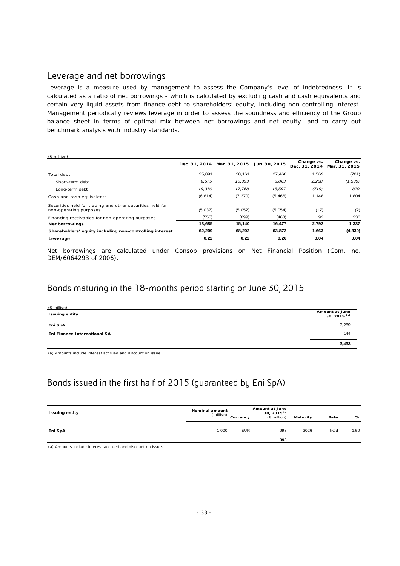## Leverage and net borrowings

Leverage is a measure used by management to assess the Company's level of indebtedness. It is calculated as a ratio of net borrowings - which is calculated by excluding cash and cash equivalents and certain very liquid assets from finance debt to shareholders' equity, including non-controlling interest. Management periodically reviews leverage in order to assess the soundness and efficiency of the Group balance sheet in terms of optimal mix between net borrowings and net equity, and to carry out benchmark analysis with industry standards.

| $(\epsilon$ million)                                                                |         |                                           |          |                             |                             |
|-------------------------------------------------------------------------------------|---------|-------------------------------------------|----------|-----------------------------|-----------------------------|
|                                                                                     |         | Dec. 31, 2014 Mar. 31, 2015 Jun. 30, 2015 |          | Change vs.<br>Dec. 31, 2014 | Change vs.<br>Mar. 31, 2015 |
| Total debt                                                                          | 25.891  | 28.161                                    | 27.460   | 1.569                       | (701)                       |
| Short-term debt                                                                     | 6.575   | 10.393                                    | 8,863    | 2,288                       | (1,530)                     |
| Long-term debt                                                                      | 19.316  | 17.768                                    | 18,597   | (719)                       | 829                         |
| Cash and cash equivalents                                                           | (6,614) | (7, 270)                                  | (5, 466) | 1,148                       | 1.804                       |
| Securities held for trading and other securities held for<br>non-operating purposes | (5,037) | (5,052)                                   | (5,054)  | (17)                        | (2)                         |
| Financing receivables for non-operating purposes                                    | (555)   | (699)                                     | (463)    | 92                          | 236                         |
| <b>Net borrowings</b>                                                               | 13,685  | 15,140                                    | 16,477   | 2,792                       | 1,337                       |
| Shareholders' equity including non-controlling interest                             | 62,209  | 68,202                                    | 63,872   | 1,663                       | (4, 330)                    |
| Leverage                                                                            | 0.22    | 0.22                                      | 0.26     | 0.04                        | 0.04                        |

Net borrowings are calculated under Consob provisions on Net Financial Position (Com. no. DEM/6064293 of 2006).

## Bonds maturing in the 18-months period starting on June 30, 2015

| $(E \text{ million})$        |                                  |
|------------------------------|----------------------------------|
| <b>Issuing entity</b>        | Amount at June<br>30, 2015 $(3)$ |
| Eni SpA                      | 3,289                            |
| Eni Finance International SA | 144                              |
|                              | 3,433                            |

(a) Amounts include interest accrued and discount on issue.

# Bonds issued in the first half of 2015 (guaranteed by Eni SpA)

| <b>Issuing entity</b> | Nominal amount<br>(million) | Currency   | <b>Amount at June</b><br>30, 2015 $^{(a)}$<br>$(E \text{ million})$ | Maturity | Rate  | %    |
|-----------------------|-----------------------------|------------|---------------------------------------------------------------------|----------|-------|------|
| Eni SpA               | 1,000                       | <b>EUR</b> | 998<br>998                                                          | 2026     | fixed | 1.50 |

(a) Amounts include interest accrued and discount on issue.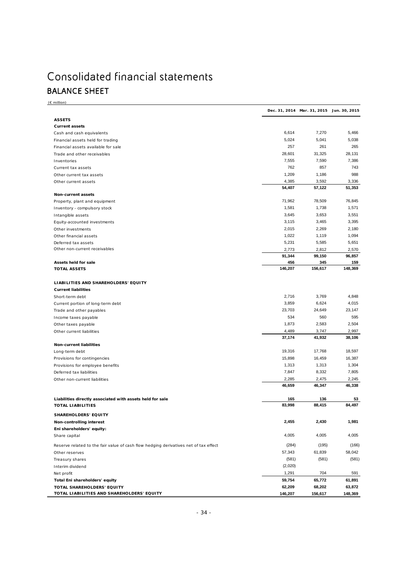# Consolidated financial statements BALANCE SHEET

| $(E \text{ million})$                                                                 |                 |                                           |                 |
|---------------------------------------------------------------------------------------|-----------------|-------------------------------------------|-----------------|
|                                                                                       |                 | Dec. 31, 2014 Mar. 31, 2015 Jun. 30, 2015 |                 |
| <b>ASSETS</b>                                                                         |                 |                                           |                 |
| <b>Current assets</b>                                                                 |                 |                                           |                 |
| Cash and cash equivalents                                                             | 6,614           | 7,270                                     | 5,466           |
| Financial assets held for trading                                                     | 5,024           | 5,041                                     | 5,038           |
| Financial assets available for sale                                                   | 257             | 261                                       | 265             |
| Trade and other receivables                                                           | 28,601          | 31,325                                    | 28,131          |
| Inventories                                                                           | 7,555           | 7,590                                     | 7,386           |
| Current tax assets                                                                    | 762             | 857                                       | 743             |
| Other current tax assets                                                              | 1,209           | 1,186                                     | 988             |
| Other current assets                                                                  | 4,385<br>54,407 | 3,592<br>57,122                           | 3,336<br>51,353 |
| Non-current assets                                                                    |                 |                                           |                 |
| Property, plant and equipment                                                         | 71,962          | 78,509                                    | 76,845          |
| Inventory - compulsory stock                                                          | 1,581           | 1,738                                     | 1,571           |
| Intangible assets                                                                     | 3,645           | 3,653                                     | 3,551           |
| Equity-accounted investments                                                          | 3,115           | 3,465                                     | 3,395           |
| Other investments                                                                     | 2,015           | 2,269                                     | 2,180           |
| Other financial assets                                                                | 1,022           | 1,119                                     | 1,094           |
| Deferred tax assets                                                                   | 5,231           | 5,585                                     | 5,651           |
| Other non-current receivables                                                         | 2,773           | 2,812                                     | 2,570           |
|                                                                                       | 91,344          | 99,150                                    | 96,857          |
| Assets held for sale<br><b>TOTAL ASSETS</b>                                           | 456<br>146,207  | 345<br>156,617                            | 159<br>148,369  |
|                                                                                       |                 |                                           |                 |
| LIABILITIES AND SHAREHOLDERS' EQUITY<br><b>Current liabilities</b>                    |                 |                                           |                 |
|                                                                                       | 2,716           | 3,769                                     | 4,848           |
| Short-term debt                                                                       | 3,859           | 6,624                                     | 4,015           |
| Current portion of long-term debt<br>Trade and other payables                         | 23,703          | 24,649                                    | 23,147          |
| Income taxes payable                                                                  | 534             | 560                                       | 595             |
| Other taxes payable                                                                   | 1,873           | 2,583                                     | 2,504           |
| Other current liabilities                                                             | 4,489           | 3,747                                     | 2,997           |
|                                                                                       | 37,174          | 41,932                                    | 38,106          |
| <b>Non-current liabilities</b>                                                        |                 |                                           |                 |
| Long-term debt                                                                        | 19,316          | 17,768                                    | 18,597          |
| Provisions for contingencies                                                          | 15,898          | 16,459                                    | 16,387          |
| Provisions for employee benefits                                                      | 1,313           | 1,313                                     | 1,304           |
| Deferred tax liabilities                                                              | 7,847           | 8,332                                     | 7,805           |
| Other non-current liabilities                                                         | 2,285<br>46,659 | 2,475<br>46,347                           | 2,245<br>46,338 |
|                                                                                       | 165             | 136                                       | 53              |
| Liabilities directly associated with assets held for sale<br><b>TOTAL LIABILITIES</b> | 83,998          | 88,415                                    | 84,497          |
|                                                                                       |                 |                                           |                 |
| SHAREHOLDERS' EQUITY                                                                  |                 |                                           |                 |
| Non-controlling interest                                                              | 2,455           | 2,430                                     | 1,981           |
| Eni shareholders' equity:                                                             |                 |                                           |                 |
| Share capital                                                                         | 4,005           | 4,005                                     | 4,005           |
| Reserve related to the fair value of cash flow hedging derivatives net of tax effect  | (284)           | (195)                                     | (166)           |
| Other reserves                                                                        | 57,343          | 61,839                                    | 58,042          |
| Treasury shares                                                                       | (581)           | (581)                                     | (581)           |
| Interim dividend                                                                      | (2,020)         |                                           |                 |
| Net profit                                                                            | 1,291           | 704                                       | 591             |
| Total Eni shareholders' equity                                                        | 59,754          | 65,772                                    | 61,891          |
| TOTAL SHAREHOLDERS' EQUITY                                                            | 62,209          | 68,202                                    | 63,872          |
| TOTAL LIABILITIES AND SHAREHOLDERS' EQUITY                                            | 146,207         | 156,617                                   | 148,369         |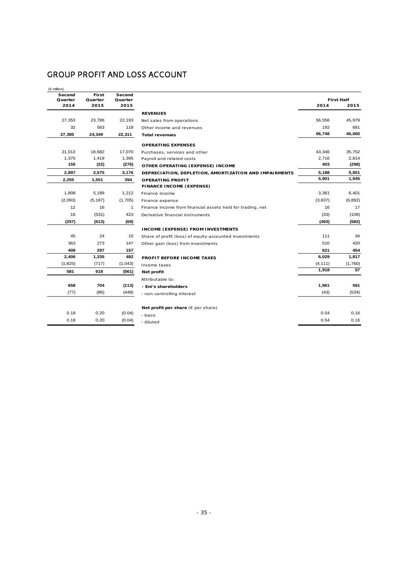# GROUP PROFIT AND LOSS ACCOUNT

| $(\in$ million) |          |         |  |  |  |  |
|-----------------|----------|---------|--|--|--|--|
| Second          | First    | Second  |  |  |  |  |
| Quarter         | Quarter  | Quarter |  |  |  |  |
| 2014            | 2015     | 2015    |  |  |  |  |
|                 |          |         |  |  |  |  |
| 27,353          | 23,786   | 22,193  |  |  |  |  |
| 32              | 563      | 118     |  |  |  |  |
| 27,385          | 24,349   | 22,311  |  |  |  |  |
|                 |          |         |  |  |  |  |
| 21,013          | 18,682   | 17,070  |  |  |  |  |
| 1,375           | 1,419    | 1,395   |  |  |  |  |
| 155             | (22)     | (276)   |  |  |  |  |
| 2,897           | 2,675    | 3,176   |  |  |  |  |
| 2,255           | 1,551    | 394     |  |  |  |  |
|                 |          |         |  |  |  |  |
| 1,808           | 5,189    | 1,212   |  |  |  |  |
| (2,093)         | (5, 187) | (1,705) |  |  |  |  |
| 12              | 16       | 1       |  |  |  |  |
| 16              | (531)    | 423     |  |  |  |  |
| (257)           | (513)    | (69)    |  |  |  |  |
|                 |          |         |  |  |  |  |
| 45              | 24       | 10      |  |  |  |  |
| 363             | 273      | 147     |  |  |  |  |
| 408             | 297      | 157     |  |  |  |  |
| 2,406           | 1,335    | 482     |  |  |  |  |
| (1, 825)        | (717)    | (1,043) |  |  |  |  |
| 581             | 618      | (561)   |  |  |  |  |
|                 |          |         |  |  |  |  |
| 658             | 704      | (113)   |  |  |  |  |
| (77)            | (86)     | (448)   |  |  |  |  |
|                 |          |         |  |  |  |  |
| 0.18            | 0.20     | (0.04)  |  |  |  |  |
| 0.18            | 0.20     | (0.04)  |  |  |  |  |

| econd<br>uarter | First<br>Quarter | Second<br>Quarter |                                                            |          | <b>First Half</b> |
|-----------------|------------------|-------------------|------------------------------------------------------------|----------|-------------------|
| 2014            | 2015             | 2015              |                                                            | 2014     | 2015              |
|                 |                  |                   | <b>REVENUES</b>                                            |          |                   |
| 27,353          | 23,786           | 22,193            | Net sales from operations                                  | 56,556   | 45,979            |
| 32              | 563              | 118               | Other income and revenues                                  | 192      | 681               |
| 27.385          | 24,349           | 22,311            | <b>Total revenues</b>                                      | 56,748   | 46,660            |
|                 |                  |                   | <b>OPERATING EXPENSES</b>                                  |          |                   |
| 21,013          | 18,682           | 17,070            | Purchases, services and other                              | 43,346   | 35,752            |
| 1,375           | 1,419            | 1,395             | Payroll and related costs                                  | 2,716    | 2,814             |
| 155             | (22)             | (276)             | OTHER OPERATING (EXPENSE) INCOME                           | 403      | (298)             |
| 2,897           | 2,675            | 3,176             | DEPRECIATION, DEPLETION, AMORTIZATION AND IMPAIRMENTS      | 5,188    | 5,851             |
| 2,255           | 1,551            | 394               | <b>OPERATING PROFIT</b>                                    | 5,901    | 1,945             |
|                 |                  |                   | <b>FINANCE INCOME (EXPENSE)</b>                            |          |                   |
| 1,808           | 5,189            | 1,212             | Finance income                                             | 3,361    | 6,401             |
| (2,093)         | (5, 187)         | (1,705)           | Finance expense                                            | (3,837)  | (6, 892)          |
| 12              | 16               | $\mathbf{1}$      | Finance income from financial assets held for trading, net | 16       | 17                |
| 16              | (531)            | 423               | Derivative financial instruments                           | (33)     | (108)             |
| (257)           | (513)            | (69)              |                                                            | (493)    | (582)             |
|                 |                  |                   | <b>INCOME (EXPENSE) FROM INVESTMENTS</b>                   |          |                   |
| 45              | 24               | 10                | Share of profit (loss) of equity-accounted investments     | 111      | 34                |
| 363             | 273              | 147               | Other gain (loss) from investments                         | 510      | 420               |
| 408             | 297              | 157               |                                                            | 621      | 454               |
| 2,406           | 1,335            | 482               | PROFIT BEFORE INCOME TAXES                                 | 6,029    | 1,817             |
| (1, 825)        | (717)            | (1,043)           | Income taxes                                               | (4, 111) | (1,760)           |
| 581             | 618              | (561)             | Net profit                                                 | 1,918    | 57                |
|                 |                  |                   | Attributable to:                                           |          |                   |
| 658             | 704              | (113)             | - Eni's shareholders                                       | 1,961    | 591               |
| (77)            | (86)             | (448)             | - non-controlling interest                                 | (43)     | (534)             |
|                 |                  |                   | Net profit per share ( $\epsilon$ per share)               |          |                   |
| 0.18            | 0.20             | (0.04)            | - basic                                                    | 0.54     | 0.16              |
| 0.18            | 0.20             | (0.04)            | - diluted                                                  | 0.54     | 0.16              |
|                 |                  |                   |                                                            |          |                   |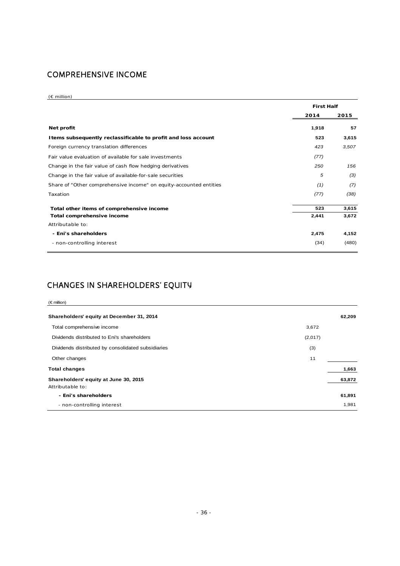# COMPREHENSIVE INCOME

#### (€ million)

|                                                                    | <b>First Half</b> |       |
|--------------------------------------------------------------------|-------------------|-------|
|                                                                    | 2014              | 2015  |
| Net profit                                                         | 1,918             | 57    |
| I tems subsequently reclassificable to profit and loss account     | 523               | 3,615 |
| Foreign currency translation differences                           | 423               | 3,507 |
| Fair value evaluation of available for sale investments            | (77)              |       |
| Change in the fair value of cash flow hedging derivatives          | 250               | 156   |
| Change in the fair value of available-for-sale securities          | 5                 | (3)   |
| Share of "Other comprehensive income" on equity-accounted entities | (1)               | (7)   |
| Taxation                                                           | (77)              | (38)  |
| Total other items of comprehensive income                          | 523               | 3,615 |
| Total comprehensive income                                         | 2,441             | 3,672 |
| Attributable to:                                                   |                   |       |
| - Eni's shareholders                                               | 2,475             | 4,152 |
| - non-controlling interest                                         | (34)              | (480) |

## CHANGES IN SHAREHOLDERS' EQUITY

| $(\epsilon$ million)                                      |         |        |
|-----------------------------------------------------------|---------|--------|
| Shareholders' equity at December 31, 2014                 |         | 62,209 |
| Total comprehensive income                                | 3,672   |        |
| Dividends distributed to Eni's shareholders               | (2,017) |        |
| Dividends distributed by consolidated subsidiaries        | (3)     |        |
| Other changes                                             | 11      |        |
| <b>Total changes</b>                                      |         | 1,663  |
| Shareholders' equity at June 30, 2015<br>Attributable to: |         | 63,872 |
| - Eni's shareholders                                      |         | 61,891 |
| - non-controlling interest                                |         | 1,981  |
|                                                           |         |        |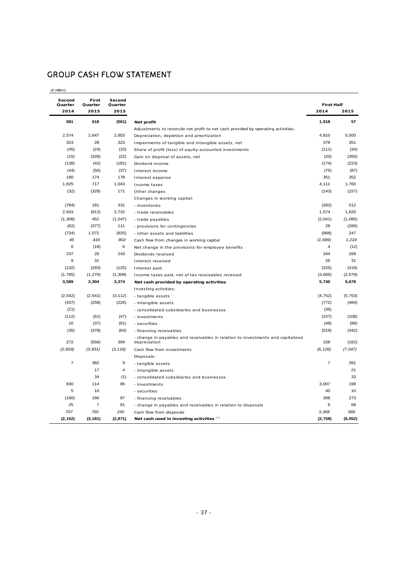# GROUP CASH FLOW STATEMENT

| Second<br>Quarter | First<br>Quarter | Second<br>Quarter |                                                                                   | <b>First Half</b> |          |
|-------------------|------------------|-------------------|-----------------------------------------------------------------------------------|-------------------|----------|
| 2014              | 2015             | 2015              |                                                                                   | 2014              | 2015     |
| 581               | 618              | (561)             | Net profit                                                                        | 1,918             | 57       |
|                   |                  |                   | Adjustments to reconcile net profit to net cash provided by operating activities: |                   |          |
| 2,574             | 2,647            | 2,853             | Depreciation, depletion and amortization                                          | 4,810             | 5,500    |
| 323               | 28               | 323               | Impairments of tangible and intangible assets, net                                | 378               | 351      |
| (45)              | (24)             | (10)              | Share of profit (loss) of equity-accounted investments                            | (111)             | (34)     |
| (15)              | (328)            | (22)              | Gain on disposal of assets, net                                                   | (20)              | (350)    |
| (138)             | (42)             | (181)             | Dividend income                                                                   | (174)             | (223)    |
| (44)              | (50)             | (37)              | Interest income                                                                   | (75)              | (87)     |
| 180               | 174              | 178               | Interest expense                                                                  | 351               | 352      |
| 1,825             | 717              | 1,043             | Income taxes                                                                      | 4.111             | 1,760    |
| (32)              | (328)            | 171               | Other changes                                                                     | (143)             | (157)    |
|                   |                  |                   | Changes in working capital:                                                       |                   |          |
| (784)             | 181              | 331               | - inventories                                                                     | (282)             | 512      |
| 2,933             | (912)            | 2,732             | - trade receivables                                                               | 1,574             | 1,820    |
| (1,308)           | 452              | (1, 547)          | - trade payables                                                                  | (2,041)           | (1,095)  |
| (62)              | (377)            | 111               | - provisions for contingencies                                                    | 28                | (266)    |
| (734)             | 1,072            | (825)             | - other assets and liabilities                                                    | (968)             | 247      |
| 45                | 416              | 802               | Cash flow from changes in working capital                                         | (1,689)           | 1,218    |
| 6                 | (18)             | 6                 | Net change in the provisions for employee benefits                                | 4                 | (12)     |
| 237               | 26               | 243               | Dividends received                                                                | 344               | 269      |
| 9                 | 31               |                   | Interest received                                                                 | 26                | 31       |
| (132)             | (293)            | (125)             | Interest paid                                                                     | (325)             | (418)    |
| (1,785)           | (1, 270)         | (1, 309)          | Income taxes paid, net of tax receivables received                                | (3,665)           | (2, 579) |
| 3,589             | 2,304            | 3,374             | Net cash provided by operating activities                                         | 5,740             | 5,678    |
|                   |                  |                   | Investing activities:                                                             |                   |          |
| (2, 542)          | (2,641)          | (3, 112)          | - tangible assets                                                                 | (4, 752)          | (5, 753) |
| (437)             | (258)            | (226)             | - intangible assets                                                               | (772)             | (484)    |
| (21)              |                  |                   | - consolidated subsidiaries and businesses                                        | (36)              |          |
| (112)             | (61)             | (47)              | - investments                                                                     | (157)             | (108)    |
| 16                | (37)             | (61)              | - securities                                                                      | (48)              | (98)     |
| (35)              | (378)            | (64)              | - financing receivables                                                           | (519)             | (442)    |
|                   |                  |                   | - change in payables and receivables in relation to investments and capitalized   |                   |          |
| 272               | (556)            | 394               | depreciation                                                                      | 158               | (162)    |
| (2, 859)          | (3, 931)         | (3, 116)          | Cash flow from investments                                                        | (6, 126)          | (7,047)  |
|                   |                  |                   | Disposals:                                                                        |                   |          |
| $\overline{7}$    | 382              | 9                 | - tangible assets                                                                 | $\overline{7}$    | 391      |
|                   | 17               | $\overline{4}$    | - intangible assets                                                               |                   | 21       |
|                   | 34               | (1)               | - consolidated subsidiaries and businesses                                        |                   | 33       |
| 830               | 114              | 85                | - investments                                                                     | 3,007             | 199      |
| 5                 | 10               |                   | - securities                                                                      | 40                | 10       |
| (160)             | 186              | 87                | - financing receivables                                                           | 308               | 273      |
| 25                | $\overline{7}$   | 61                | - change in payables and receivables in relation to disposals                     | 6                 | 68       |
| 707               | 750              | 245               | Cash flow from disposals                                                          | 3,368             | 995      |
| (2, 152)          | (3, 181)         | (2, 871)          | Net cash used in investing activities (*)                                         | (2,758)           | (6,052)  |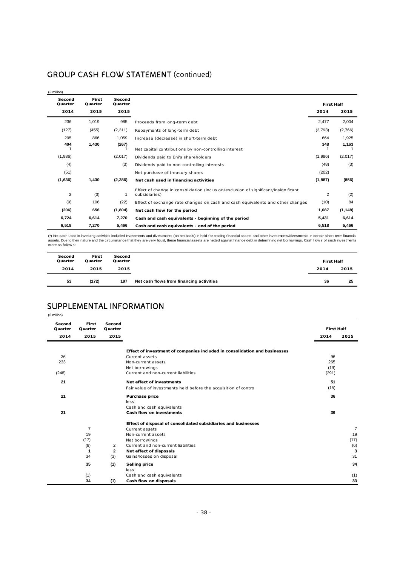|  |  |  |  | <b>GROUP CASH FLOW STATEMENT (continued)</b> |
|--|--|--|--|----------------------------------------------|
|--|--|--|--|----------------------------------------------|

| $(\in$ million)           |                          |                           |                                                                                                      |                           |          |
|---------------------------|--------------------------|---------------------------|------------------------------------------------------------------------------------------------------|---------------------------|----------|
| Second<br>Quarter<br>2014 | First<br>Quarter<br>2015 | Second<br>Quarter<br>2015 |                                                                                                      | <b>First Half</b><br>2014 | 2015     |
|                           |                          |                           |                                                                                                      |                           |          |
| 236                       | 1,019                    | 985                       | Proceeds from long-term debt                                                                         | 2,477                     | 2,004    |
| (127)                     | (455)                    | (2, 311)                  | Repayments of long-term debt                                                                         | (2,793)                   | (2,766)  |
| 295                       | 866                      | 1,059                     | Increase (decrease) in short-term debt                                                               | 664                       | 1,925    |
| 404                       | 1,430                    | (267)                     |                                                                                                      | 348                       | 1,163    |
|                           |                          |                           | Net capital contributions by non-controlling interest                                                |                           |          |
| (1,986)                   |                          | (2,017)                   | Dividends paid to Eni's shareholders                                                                 | (1,986)                   | (2,017)  |
| (4)                       |                          | (3)                       | Dividends paid to non-controlling interests                                                          | (48)                      | (3)      |
| (51)                      |                          |                           | Net purchase of treasury shares                                                                      | (202)                     |          |
| (1,636)                   | 1,430                    | (2, 286)                  | Net cash used in financing activities                                                                | (1,887)                   | (856)    |
| $\overline{2}$            | (3)                      | 1                         | Effect of change in consolidation (inclusion/exclusion of significant/insignificant<br>subsidiaries) | 2                         | (2)      |
| (9)                       | 106                      | (22)                      | Effect of exchange rate changes on cash and cash equivalents and other changes                       | (10)                      | 84       |
| (206)                     | 656                      | (1, 804)                  | Net cash flow for the period                                                                         | 1,087                     | (1, 148) |
| 6,724                     | 6,614                    | 7,270                     | Cash and cash equivalents - beginning of the period                                                  | 5,431                     | 6,614    |
| 6,518                     | 7,270                    | 5,466                     | Cash and cash equivalents - end of the period                                                        | 6.518                     | 5,466    |

(\*) Net cash used in investing activities included investments and divestments (on net basis) in held-for-trading financial assets and other investments/divestments in certain short-term financial<br>assets. Due to their natu

| Second<br>Quarter | First<br>Quarter | Second<br>Quarter |                                          | <b>First Half</b> |      |
|-------------------|------------------|-------------------|------------------------------------------|-------------------|------|
| 2014              | 2015             | 2015              |                                          | 2014              | 2015 |
| 53                | (172)            | 197               | Net cash flows from financing activities | 36                | 25   |

# SUPPLEMENTAL INFORMATION

(€ million)

| Second<br>Quarter | First<br>Quarter | Second<br>Quarter |                                                                            | <b>First Half</b> |                |
|-------------------|------------------|-------------------|----------------------------------------------------------------------------|-------------------|----------------|
| 2014              | 2015             | 2015              |                                                                            | 2014              | 2015           |
|                   |                  |                   |                                                                            |                   |                |
|                   |                  |                   | Effect of investment of companies included in consolidation and businesses |                   |                |
| 36                |                  |                   | <b>Current assets</b>                                                      | 96                |                |
| 233               |                  |                   | Non-current assets                                                         | 265               |                |
|                   |                  |                   | Net borrowings                                                             | (19)              |                |
| (248)             |                  |                   | Current and non-current liabilities                                        | (291)             |                |
| 21                |                  |                   | Net effect of investments                                                  | 51                |                |
|                   |                  |                   | Fair value of investments held before the acquisition of control           | (15)              |                |
| 21                |                  |                   | Purchase price                                                             | 36                |                |
|                   |                  |                   | less:                                                                      |                   |                |
|                   |                  |                   | Cash and cash equivalents                                                  |                   |                |
| 21                |                  |                   | Cash flow on investments                                                   | 36                |                |
|                   |                  |                   | Effect of disposal of consolidated subsidiaries and businesses             |                   |                |
|                   | $\overline{7}$   |                   | Current assets                                                             |                   | $\overline{7}$ |
|                   | 19               |                   | Non-current assets                                                         |                   | 19             |
|                   | (17)             |                   | Net borrowings                                                             |                   | (17)           |
|                   | (8)              | 2                 | Current and non-current liabilities                                        |                   | (6)            |
|                   | 1                | 2                 | Net effect of disposals                                                    |                   | 3              |
|                   | 34               | (3)               | Gains/losses on disposal                                                   |                   | 31             |
|                   | 35               | (1)               | <b>Selling price</b>                                                       |                   | 34             |
|                   |                  |                   | less:                                                                      |                   |                |
|                   | (1)              |                   | Cash and cash equivalents                                                  |                   | (1)            |
|                   | 34               | (1)               | Cash flow on disposals                                                     |                   | 33             |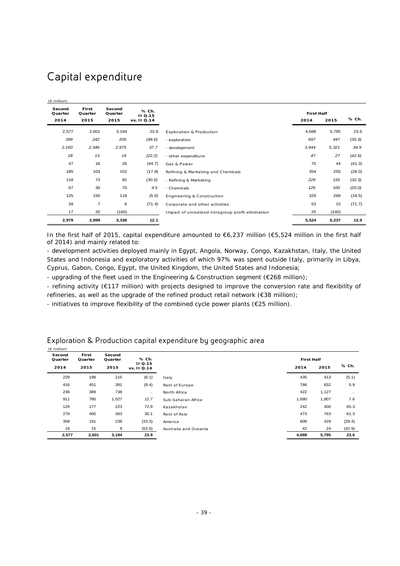# Capital expenditure

| $(E \text{ million})$     |                          |                           |                                 |                                                    |                           |       |        |
|---------------------------|--------------------------|---------------------------|---------------------------------|----------------------------------------------------|---------------------------|-------|--------|
| Second<br>Quarter<br>2014 | First<br>Quarter<br>2015 | Second<br>Quarter<br>2015 | % Ch.<br>II Q.15<br>vs. II Q.14 |                                                    | <b>First Half</b><br>2014 | 2015  | % Ch.  |
| 2,577                     | 2,601                    | 3,194                     | 23.9                            | <b>Exploration &amp; Production</b>                | 4,688                     | 5,795 | 23.6   |
| 399                       | 242                      | 205                       | (48.6)                          | - exploration                                      | 697                       | 447   | (35.9) |
| 2,160                     | 2,346                    | 2,975                     | 37.7                            | - development                                      | 3,944                     | 5,321 | 34.9   |
| 18                        | 13                       | 14                        | (22.2)                          | - other expenditure                                | 47                        | 27    | (42.6) |
| 47                        | 18                       | 26                        | (44.7)                          | Gas & Power                                        | 75                        | 44    | (41.3) |
| 185                       | 103                      | 152                       | (17.8)                          | Refining & Marketing and Chemicals                 | 354                       | 255   | (28.0) |
| 118                       | 73                       | 82                        | (30.5)                          | - Refining & Marketing                             | 229                       | 155   | (32.3) |
| 67                        | 30                       | 70                        | 4.5                             | - Chemicals                                        | 125                       | 100   | (20.0) |
| 125                       | 150                      | 118                       | (5.6)                           | Engineering & Construction                         | 329                       | 268   | (18.5) |
| 28                        | $\overline{7}$           | 8                         | (71.4)                          | Corporate and other activities                     | 53                        | 15    | (71.7) |
| 17                        | 20                       | (160)                     |                                 | Impact of unrealized intragroup profit elimination | 25                        | (140) |        |
| 2,979                     | 2,899                    | 3,338                     | 12.1                            |                                                    | 5,524                     | 6,237 | 12.9   |

In the first half of 2015, capital expenditure amounted to €6,237 million (€5,524 million in the first half of 2014) and mainly related to:

- development activities deployed mainly in Egypt, Angola, Norway, Congo, Kazakhstan, Italy, the United States and Indonesia and exploratory activities of which 97% was spent outside Italy, primarily in Libya, Cyprus, Gabon, Congo, Egypt, the United Kingdom, the United States and Indonesia;

- upgrading of the fleet used in the Engineering & Construction segment ( $\epsilon$ 268 million);

- refining activity (€117 million) with projects designed to improve the conversion rate and flexibility of refineries, as well as the upgrade of the refined product retail network (€38 million);

- initiatives to improve flexibility of the combined cycle power plants (€25 million).

| $(E \text{ million})$ |                  |                   |                         |                       |                   |       |           |
|-----------------------|------------------|-------------------|-------------------------|-----------------------|-------------------|-------|-----------|
| Second<br>Quarter     | First<br>Quarter | Second<br>Quarter | % Ch.<br><b>II Q.15</b> |                       | <b>First Half</b> |       |           |
| 2014                  | 2015             | 2015              | vs. 11 Q.14             |                       | 2014              | 2015  | % Ch.     |
| 229                   | 198              | 215               | (6.1)                   | Italy                 | 435               | 413   | (5.1)     |
| 416                   | 451              | 381               | (8.4)                   | Rest of Europe        | 786               | 832   | 5.9       |
| 236                   | 389              | 738               | $\ddotsc$               | North Africa          | 422               | 1,127 | $\ddotsc$ |
| 911                   | 780              | 1,027             | 12.7                    | Sub-Saharan Africa    | 1,680             | 1,807 | 7.6       |
| 129                   | 177              | 223               | 72.9                    | Kazakhstan            | 242               | 400   | 65.3      |
| 279                   | 400              | 363               | 30.1                    | Rest of Asia          | 473               | 763   | 61.3      |
| 358                   | 191              | 238               | (33.5)                  | America               | 608               | 429   | (29.4)    |
| 19                    | 15               | 9                 | (52.6)                  | Australia and Oceania | 42                | 24    | (42.9)    |
| 2,577                 | 2,601            | 3,194             | 23.9                    |                       | 4,688             | 5,795 | 23.6      |

### Exploration & Production capital expenditure by geographic area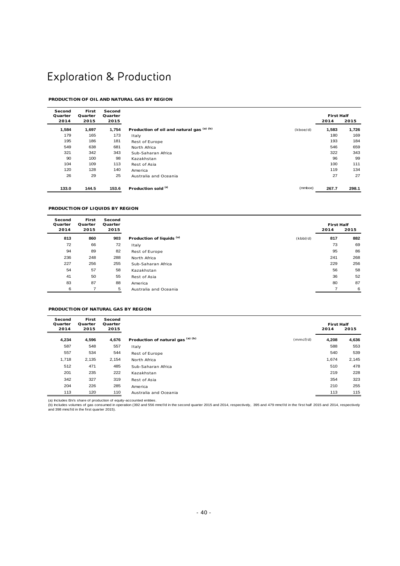# Exploration & Production

#### **PRODUCTION OF OIL AND NATURAL GAS BY REGION**

| Second<br>Quarter | First<br>Quarter | Second<br>Quarter |                                           |          | <b>First Half</b> |       |
|-------------------|------------------|-------------------|-------------------------------------------|----------|-------------------|-------|
| 2014              | 2015             | 2015              |                                           |          | 2014              | 2015  |
| 1,584             | 1,697            | 1,754             | Production of oil and natural gas (a) (b) | (kboe/d) | 1,583             | 1,726 |
| 179               | 165              | 173               | Italy                                     |          | 180               | 169   |
| 195               | 186              | 181               | Rest of Europe                            |          | 193               | 184   |
| 549               | 638              | 681               | North Africa                              |          | 546               | 659   |
| 321               | 342              | 343               | Sub-Saharan Africa                        |          | 322               | 343   |
|                   | 90<br>100        | 98                | Kazakhstan                                |          | 96                | 99    |
| 104               | 109              | 113               | Rest of Asia                              |          | 100               | 111   |
| 120               | 128              | 140               | America                                   |          | 119               | 134   |
|                   | 26<br>29         | 25                | Australia and Oceania                     |          | 27                | 27    |
| 133.0             | 144.5            | 153.6             | Production sold (a)                       | (mmboe)  | 267.7             | 298.1 |

#### **PRODUCTION OF LIQUIDS BY REGION**

| Second<br>Quarter | First<br>Quarter | Second<br>Quarter |                                      |          | <b>First Half</b> |      |
|-------------------|------------------|-------------------|--------------------------------------|----------|-------------------|------|
| 2014              | 2015             | 2015              |                                      |          | 2014              | 2015 |
| 813               | 860              | 903               | Production of liquids <sup>(a)</sup> | (kbbI/d) | 817               | 882  |
| 72                | 66               | 72                | Italy                                |          | 73                | 69   |
| 94                | 89               | 82                | Rest of Europe                       |          | 95                | 86   |
| 236               | 248              | 288               | North Africa                         |          | 241               | 268  |
| 227               | 256              | 255               | Sub-Saharan Africa                   |          | 229               | 256  |
| 54                | 57               | 58                | Kazakhstan                           |          | 56                | 58   |
| 41                | 50               | 55                | Rest of Asia                         |          | 36                | 52   |
| 83                | 87               | 88                | America                              |          | 80                | 87   |
| 6                 |                  | 5                 | Australia and Oceania                |          |                   | 6    |

#### **PRODUCTION OF NATURAL GAS BY REGION**

| Second<br>Quarter | First<br>Quarter | Second<br>Quarter |                                   |          | <b>First Half</b> |       |
|-------------------|------------------|-------------------|-----------------------------------|----------|-------------------|-------|
| 2014              | 2015             | 2015              |                                   |          | 2014              | 2015  |
| 4,234             | 4,596            | 4,676             | Production of natural gas (a) (b) | (mmcf/d) | 4,208             | 4,636 |
| 587               | 548              | 557               | Italy                             |          | 588               | 553   |
| 557               | 534              | 544               | Rest of Europe                    |          | 540               | 539   |
| 1,718             | 2,135            | 2,154             | North Africa                      |          | 1,674             | 2,145 |
| 512               | 471              | 485               | Sub-Saharan Africa                |          | 510               | 478   |
| 201               | 235              | 222               | Kazakhstan                        |          | 219               | 228   |
| 342               | 327              | 319               | Rest of Asia                      |          | 354               | 323   |
| 204               | 226              | 285               | America                           |          | 210               | 255   |
| 113               | 120              | 110               | Australia and Oceania             |          | 113               | 115   |

(a) Includes Eni's share of production of equity-accounted entities.

(b) Includes volumes of gas consumed in operation (392 and 556 mmcf/d in the second quarter 2015 and 2014, respectively, 395 and 479 mmcf/d in the first half 2015 and 2014, respectively<br>and 398 mmcf/d in the first quarter